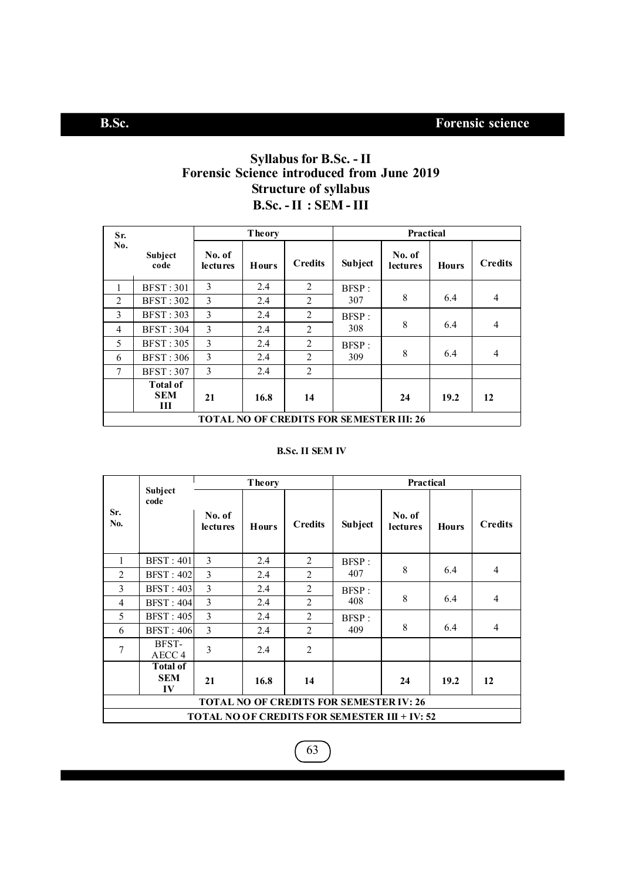## **Syllabus for B.Sc. - II Forensic Science introduced from June 2019 Structure of syllabus B.Sc. - II : SEM - III**

| Sr.            |                                                 |                           | <b>Theory</b> |                | Practical |                    |              |                |  |
|----------------|-------------------------------------------------|---------------------------|---------------|----------------|-----------|--------------------|--------------|----------------|--|
| No.            | <b>Subject</b><br>code                          | No. of<br><b>lectures</b> | <b>Hours</b>  | <b>Credits</b> | Subject   | No. of<br>lectures | <b>Hours</b> | <b>Credits</b> |  |
| 1              | <b>BFST: 301</b>                                | 3                         | 2.4           | 2              | BFSP:     |                    |              |                |  |
| 2              | <b>BFST: 302</b>                                | 3                         | 2.4           | 2              | 307       | 8                  | 6.4          | $\overline{4}$ |  |
| 3              | <b>BFST: 303</b>                                | 3                         | 2.4           | 2              | BFSP:     |                    |              |                |  |
| $\overline{4}$ | <b>BFST: 304</b>                                | 3                         | 2.4           | 2              | 308       | 8                  | 6.4          | $\overline{4}$ |  |
| 5              | <b>BFST: 305</b>                                | 3                         | 2.4           | 2              | BFSP:     |                    |              |                |  |
| 6              | <b>BFST: 306</b>                                | 3                         | 2.4           | 2              | 309       | 8                  | 6.4          | $\overline{4}$ |  |
| $\tau$         | <b>BFST: 307</b>                                | 3                         | 2.4           | 2              |           |                    |              |                |  |
|                | <b>Total of</b><br><b>SEM</b><br>Ш              | 21                        | 16.8          | 14             |           | 24                 | 19.2         | 12             |  |
|                | <b>TOTAL NO OF CREDITS FOR SEMESTER III: 26</b> |                           |               |                |           |                    |              |                |  |

### **B.Sc. II SEM IV**

|                |                                                                                                        |                           | <b>Theory</b> |                | Practical |                           |              |                |  |
|----------------|--------------------------------------------------------------------------------------------------------|---------------------------|---------------|----------------|-----------|---------------------------|--------------|----------------|--|
| Sr.<br>No.     | Subject<br>code                                                                                        | No. of<br><b>lectures</b> | <b>Hours</b>  | <b>Credits</b> | Subject   | No. of<br><b>lectures</b> | <b>Hours</b> | <b>Credits</b> |  |
| 1              | <b>BFST: 401</b>                                                                                       | 3                         | 2.4           | 2              | BFSP:     |                           |              |                |  |
| $\overline{2}$ | <b>BFST: 402</b>                                                                                       | 3                         | 2.4           | 2              | 407       | 8                         | 6.4          | $\overline{4}$ |  |
| 3              | <b>BFST: 403</b>                                                                                       | $\overline{3}$            | 2.4           | 2              | BFSP:     |                           |              |                |  |
| 4              | <b>BFST: 404</b>                                                                                       | 3                         | 2.4           | 2              | 408       | 8                         | 6.4          | $\overline{4}$ |  |
| 5              | <b>BFST: 405</b>                                                                                       | 3                         | 2.4           | 2              | BFSP:     |                           |              |                |  |
| 6              | <b>BFST: 406</b>                                                                                       | $\overline{\mathcal{E}}$  | 2.4           | $\mathfrak{D}$ | 409       | 8                         | 6.4          | 4              |  |
| 7              | BFST-<br>AECC <sub>4</sub>                                                                             | $\overline{\mathbf{3}}$   | 2.4           | 2              |           |                           |              |                |  |
|                | <b>Total of</b><br><b>SEM</b><br>$I\mathbf{V}$                                                         | 21                        | 16.8          | 14             |           | 24                        | 19.2         | 12             |  |
|                | <b>TOTAL NO OF CREDITS FOR SEMESTER IV: 26</b><br><b>TOTAL NO OF CREDITS FOR SEMESTER III + IV: 52</b> |                           |               |                |           |                           |              |                |  |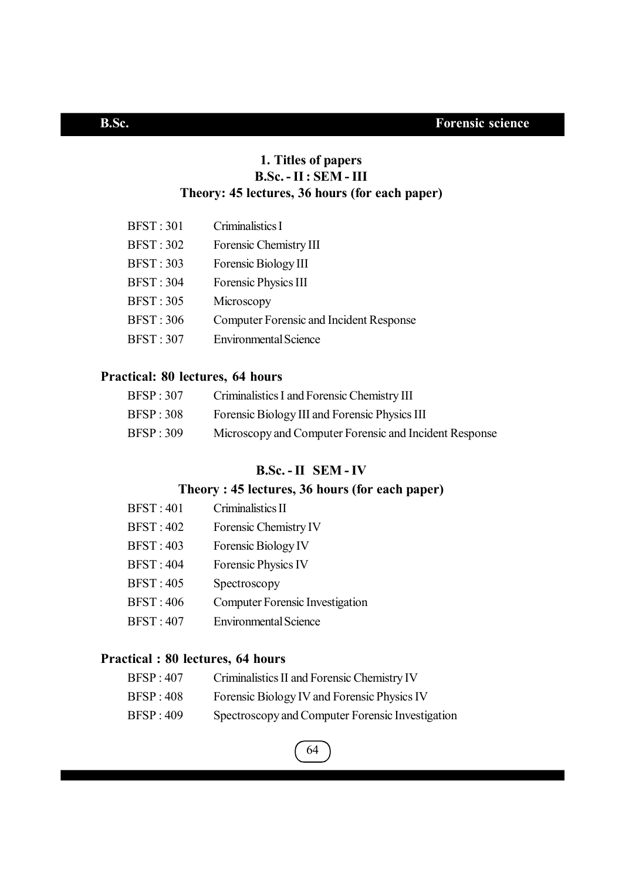## **1. Titles of papers B.Sc. - II : SEM - III Theory: 45 lectures, 36 hours (for each paper)**

| <b>BFST: 301</b> | Criminalistics I                               |
|------------------|------------------------------------------------|
| <b>BFST: 302</b> | Forensic Chemistry III                         |
| <b>BFST: 303</b> | Forensic Biology III                           |
| <b>BFST: 304</b> | Forensic Physics III                           |
| <b>BFST: 305</b> | Microscopy                                     |
| <b>BFST: 306</b> | <b>Computer Forensic and Incident Response</b> |
| <b>BFST: 307</b> | <b>Environmental Science</b>                   |

## **Practical: 80 lectures, 64 hours**

| BFSP:307          | Criminalistics I and Forensic Chemistry III            |
|-------------------|--------------------------------------------------------|
| <b>BFSP</b> : 308 | Forensic Biology III and Forensic Physics III          |
| <b>BFSP</b> : 309 | Microscopy and Computer Forensic and Incident Response |

## **B.Sc. - II SEM - IV**

## **Theory : 45 lectures, 36 hours (for each paper)**

| <b>BFST: 401</b> | Criminalistics II                      |
|------------------|----------------------------------------|
| <b>BFST: 402</b> | Forensic Chemistry IV                  |
| <b>BFST: 403</b> | Forensic Biology IV                    |
| <b>BFST: 404</b> | Forensic Physics IV                    |
| <b>BFST: 405</b> | Spectroscopy                           |
| <b>BFST: 406</b> | <b>Computer Forensic Investigation</b> |
| <b>BFST: 407</b> | <b>Environmental Science</b>           |

## **Practical : 80 lectures, 64 hours**

| <b>BFSP: 407</b> | Criminalistics II and Forensic Chemistry IV |  |  |
|------------------|---------------------------------------------|--|--|
|------------------|---------------------------------------------|--|--|

- BFSP : 408 Forensic Biology IV and Forensic Physics IV
- BFSP : 409 Spectroscopy and Computer Forensic Investigation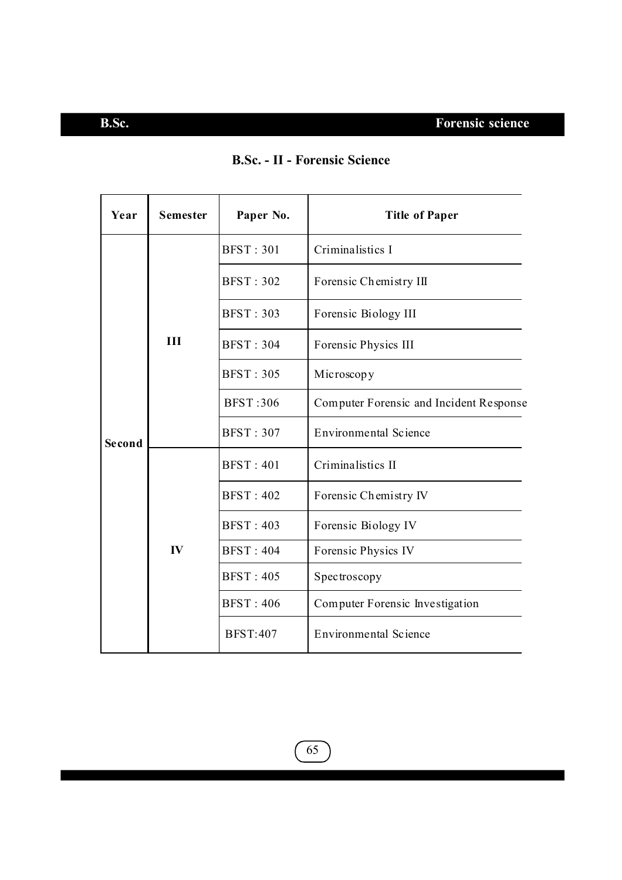# **B.Sc. Forensic science**

| Year   | <b>Semester</b> | Paper No.        | <b>Title of Paper</b>                   |  |  |  |
|--------|-----------------|------------------|-----------------------------------------|--|--|--|
|        |                 | <b>BFST: 301</b> | Criminalistics I                        |  |  |  |
|        |                 | <b>BFST: 302</b> | Forensic Chemistry III                  |  |  |  |
|        |                 | <b>BFST: 303</b> | Forensic Biology III                    |  |  |  |
|        | H               | <b>BFST: 304</b> | Forensic Physics III                    |  |  |  |
|        |                 | <b>BFST: 305</b> | Microscopy                              |  |  |  |
|        |                 | <b>BFST:306</b>  | Computer Forensic and Incident Response |  |  |  |
| Second |                 | <b>BFST: 307</b> | <b>Environmental Science</b>            |  |  |  |
|        |                 | <b>BFST: 401</b> | Criminalistics II                       |  |  |  |
|        |                 | <b>BFST: 402</b> | Forensic Chemistry IV                   |  |  |  |
|        |                 | <b>BFST: 403</b> | Forensic Biology IV                     |  |  |  |
|        | IV              | <b>BFST: 404</b> | Forensic Physics IV                     |  |  |  |
|        |                 | <b>BFST: 405</b> | Spectroscopy                            |  |  |  |
|        |                 | <b>BFST: 406</b> | Computer Forensic Investigation         |  |  |  |
|        |                 | <b>BFST:407</b>  | <b>Environmental Science</b>            |  |  |  |

## **B.Sc. - II - Forensic Science**

 $\widehat{65}$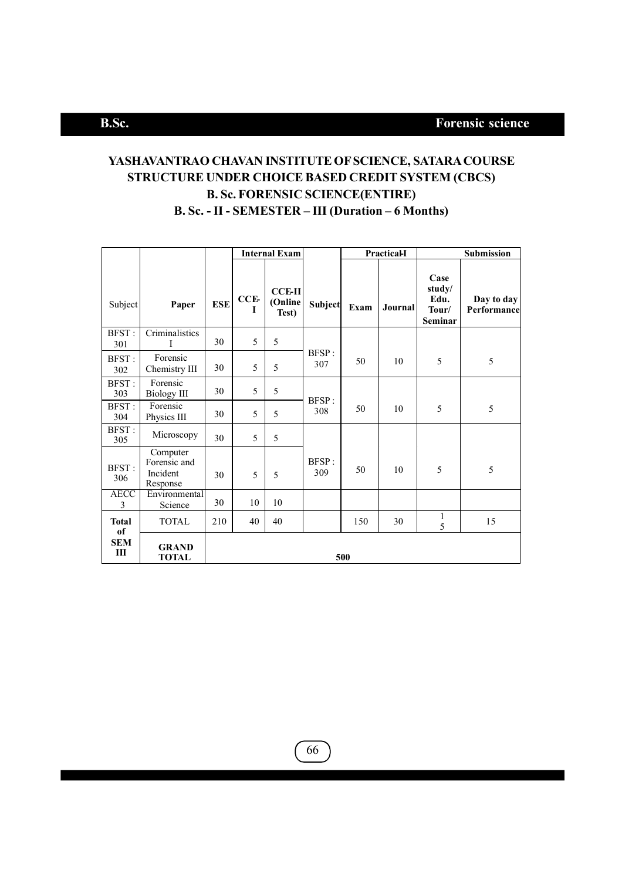## **YASHAVANTRAO CHAVAN INSTITUTE OF SCIENCE, SATARA COURSE STRUCTURE UNDER CHOICE BASED CREDIT SYSTEM (CBCS) B. Sc. FORENSIC SCIENCE(ENTIRE) B. Sc. - II - SEMESTER – III (Duration – 6 Months)**

|                     |                                                  |            | <b>Internal Exam</b> |                                   |              |      | PracticaH |                                                   | Submission                |
|---------------------|--------------------------------------------------|------------|----------------------|-----------------------------------|--------------|------|-----------|---------------------------------------------------|---------------------------|
| Subject             | Paper                                            | <b>ESE</b> | CCE-<br>I            | <b>CCE-II</b><br>(Online<br>Test) | Subject      | Exam | Journal   | Case<br>study/<br>Edu.<br>Tour/<br><b>Seminar</b> | Day to day<br>Performance |
| <b>BFST:</b><br>301 | Criminalistics<br>I                              | 30         | 5                    | 5                                 |              |      |           |                                                   |                           |
| <b>BFST:</b><br>302 | Forensic<br>Chemistry III                        | 30         | 5                    | 5                                 | BFSP:<br>307 | 50   | 10        | 5                                                 | 5                         |
| <b>BFST:</b><br>303 | Forensic<br><b>Biology III</b>                   | 30         | 5                    | 5                                 | <b>BFSP:</b> |      |           |                                                   |                           |
| <b>BFST:</b><br>304 | Forensic<br>Physics III                          | 30         | 5                    | 5                                 | 308          | 50   | 10        | 5                                                 | 5                         |
| <b>BFST:</b><br>305 | Microscopy                                       | 30         | 5                    | 5                                 |              |      |           |                                                   |                           |
| <b>BFST:</b><br>306 | Computer<br>Forensic and<br>Incident<br>Response | 30         | 5                    | 5                                 | BFSP:<br>309 | 50   | 10        | 5                                                 | 5                         |
| <b>AECC</b><br>3    | Environmental<br>Science                         | 30         | 10                   | 10                                |              |      |           |                                                   |                           |
| <b>Total</b><br>of  | <b>TOTAL</b>                                     | 210        | 40                   | 40                                |              | 150  | 30        | 1<br>5                                            | 15                        |
| <b>SEM</b><br>Ш     | <b>GRAND</b><br><b>TOTAL</b>                     |            |                      |                                   |              | 500  |           |                                                   |                           |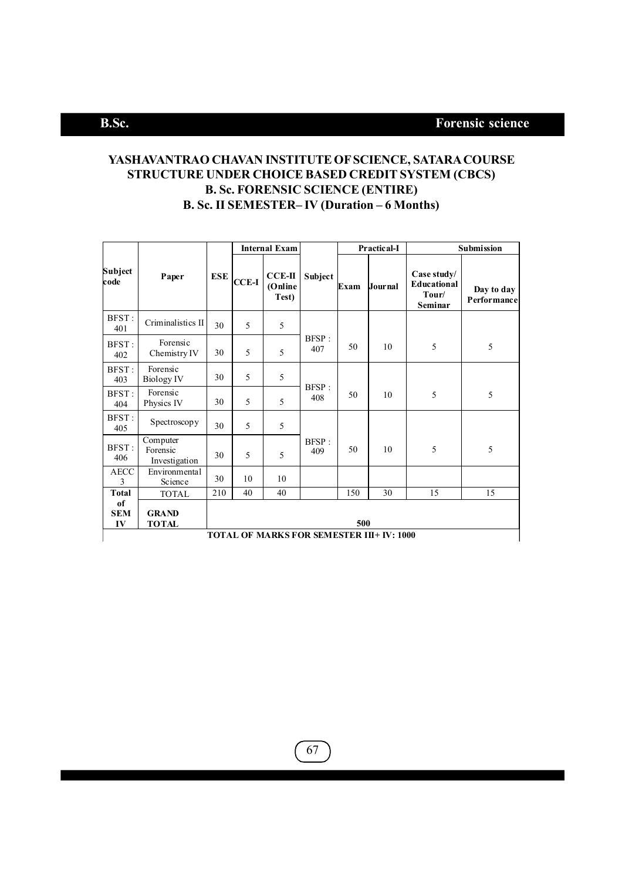## **YASHAVANTRAO CHAVAN INSTITUTE OF SCIENCE, SATARA COURSE STRUCTURE UNDER CHOICE BASED CREDIT SYSTEM (CBCS) B. Sc. FORENSIC SCIENCE (ENTIRE) B. Sc. II SEMESTER– IV (Duration – 6 Months)**

|                        |                                           |            |              | <b>Internal Exam</b>         |                      |      | Practical-I    | Submission                                            |                           |
|------------------------|-------------------------------------------|------------|--------------|------------------------------|----------------------|------|----------------|-------------------------------------------------------|---------------------------|
| Subject<br>code        | Paper                                     | <b>ESE</b> | <b>CCE-I</b> | $CCE-II$<br>(Online<br>Test) | Subject              | Exam | <b>Journal</b> | Case study/<br><b>Educational</b><br>Tour/<br>Seminar | Day to day<br>Performance |
| BFST:<br>401           | Criminalistics II                         | 30         | 5            | 5                            |                      |      |                |                                                       |                           |
| BFST:<br>402           | Forensic<br>Chemistry IV                  | 30         | 5            | 5                            | BFSP:<br>407         | 50   | 10             | 5                                                     | 5                         |
| BFST:<br>403           | Forensic<br><b>Biology IV</b>             | 30         | 5            | 5                            | BFSP:                |      |                |                                                       |                           |
| BFST:<br>404           | Forensic<br>Physics IV                    | 30         | 5            | 5                            | 408                  | 50   | 10             | 5                                                     | 5                         |
| BFST:<br>405           | Spectroscopy                              | 30         | 5            | 5                            |                      |      |                |                                                       |                           |
| BFST:<br>406           | Computer<br>Forensic<br>Investigation     | 30         | 5            | 5                            | <b>BFSP</b> :<br>409 | 50   | 10             | 5                                                     | 5                         |
| <b>AECC</b><br>3       | Environmental<br>Science                  | 30         | 10           | 10                           |                      |      |                |                                                       |                           |
| <b>Total</b>           | <b>TOTAL</b>                              | 210        | 40           | 40                           |                      | 150  | 30             | 15                                                    | 15                        |
| of<br><b>SEM</b><br>IV | <b>GRAND</b><br>500<br>TOTAL              |            |              |                              |                      |      |                |                                                       |                           |
|                        | TOTAL OF MARKS FOR SEMESTER III+ IV: 1000 |            |              |                              |                      |      |                |                                                       |                           |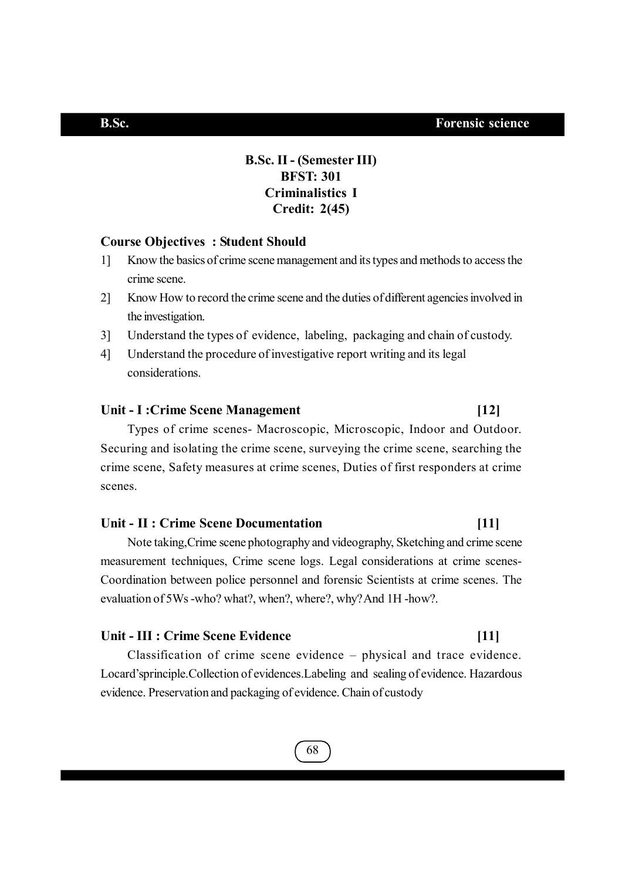## **B.Sc. II - (Semester III) BFST: 301 Criminalistics I Credit: 2(45)**

## **Course Objectives : Student Should**

- 1] Know the basics of crime scene management and its types and methods to access the crime scene.
- 2] Know How to record the crime scene and the duties of different agencies involved in the investigation.
- 3] Understand the types of evidence, labeling, packaging and chain of custody.
- 4] Understand the procedure of investigative report writing and its legal considerations.

### Unit - I : Crime Scene Management **[12]**

Types of crime scenes- Macroscopic, Microscopic, Indoor and Outdoor. Securing and isolating the crime scene, surveying the crime scene, searching the crime scene, Safety measures at crime scenes, Duties of first responders at crime scenes.

### **Unit - II : Crime Scene Documentation [11]**

Note taking,Crime scene photography and videography, Sketching and crime scene measurement techniques, Crime scene logs. Legal considerations at crime scenes-Coordination between police personnel and forensic Scientists at crime scenes. The evaluation of 5Ws -who? what?, when?, where?, why? And 1H -how?.

## Unit - III : Crime Scene Evidence *[11]*

Classification of crime scene evidence – physical and trace evidence. Locard'sprinciple.Collection of evidences.Labeling and sealing of evidence. Hazardous evidence. Preservation and packaging of evidence. Chain of custody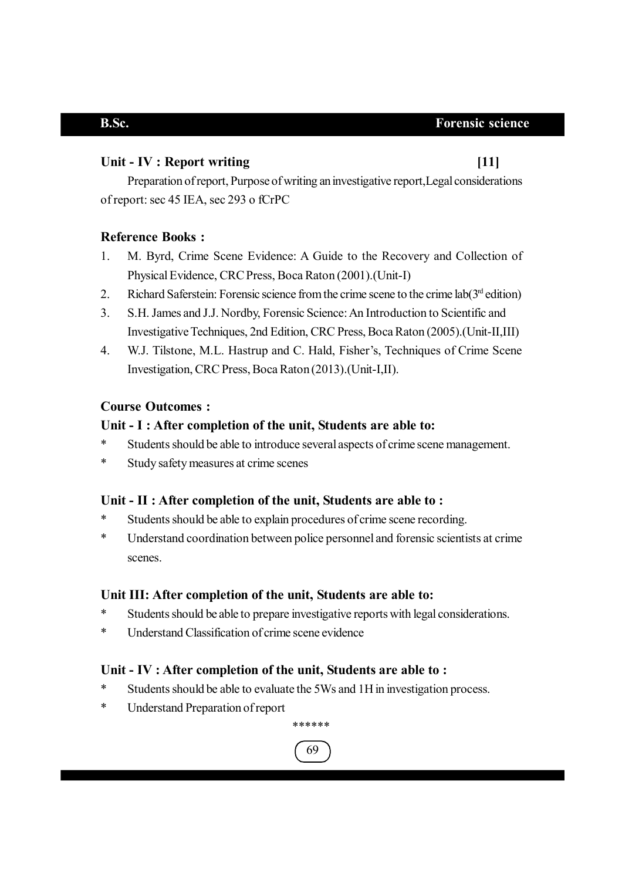## **Unit - IV : Report writing [11]**

Preparation of report, Purpose of writing an investigative report,Legal considerations of report: sec 45 IEA, sec 293 o fCrPC

## **Reference Books :**

- 1. M. Byrd, Crime Scene Evidence: A Guide to the Recovery and Collection of Physical Evidence, CRC Press, Boca Raton (2001).(Unit-I)
- 2. Richard Saferstein: Forensic science from the crime scene to the crime lab $(3<sup>rd</sup>$ edition)
- 3. S.H. James and J.J. Nordby, Forensic Science: An Introduction to Scientific and Investigative Techniques, 2nd Edition, CRC Press, Boca Raton (2005).(Unit-II,III)
- 4. W.J. Tilstone, M.L. Hastrup and C. Hald, Fisher's, Techniques of Crime Scene Investigation, CRC Press, Boca Raton (2013).(Unit-I,II).

## **Course Outcomes :**

## **Unit - I : After completion of the unit, Students are able to:**

- \* Students should be able to introduce several aspects of crime scene management.
- \* Study safety measures at crime scenes

## **Unit - II : After completion of the unit, Students are able to :**

- \* Students should be able to explain procedures of crime scene recording.
- \* Understand coordination between police personnel and forensic scientists at crime scenes.

## **Unit III: After completion of the unit, Students are able to:**

- \* Students should be able to prepare investigative reports with legal considerations.
- \* Understand Classification of crime scene evidence

## **Unit - IV : After completion of the unit, Students are able to :**

- \* Students should be able to evaluate the 5Ws and 1H in investigation process.
- \* Understand Preparation of report

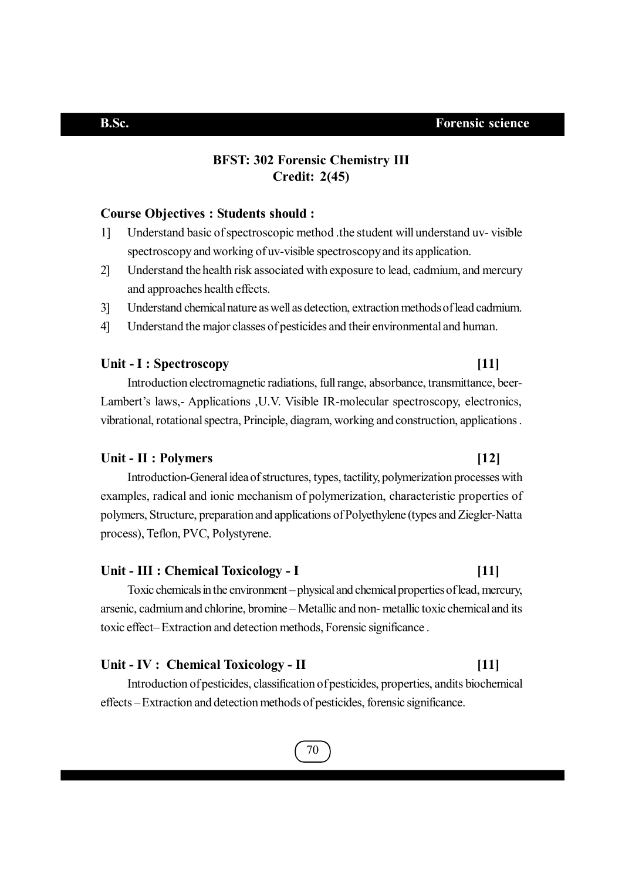## **BFST: 302 Forensic Chemistry III Credit: 2(45)**

### **Course Objectives : Students should :**

- 1] Understand basic of spectroscopic method .the student will understand uv- visible spectroscopy and working of uv-visible spectroscopy and its application.
- 2] Understand the health risk associated with exposure to lead, cadmium, and mercury and approaches health effects.
- 3] Understand chemical nature as well as detection, extraction methods of lead cadmium.
- 4] Understand the major classes of pesticides and their environmental and human.

### Unit - I : Spectroscopy **[11]**

Introduction electromagnetic radiations, full range, absorbance, transmittance, beer-Lambert's laws,- Applications ,U.V. Visible IR-molecular spectroscopy, electronics, vibrational, rotational spectra, Principle, diagram, working and construction, applications .

### **Unit - II : Polymers [12]**

Introduction-General idea of structures, types, tactility, polymerization processes with examples, radical and ionic mechanism of polymerization, characteristic properties of polymers, Structure, preparation and applications of Polyethylene (types and Ziegler-Natta process), Teflon, PVC, Polystyrene.

### **Unit - III : Chemical Toxicology - I [11]**

Toxic chemicals in the environment – physical and chemical properties of lead, mercury, arsenic, cadmium and chlorine, bromine – Metallic and non- metallic toxic chemical and its toxic effect– Extraction and detection methods, Forensic significance .

### **Unit - IV : Chemical Toxicology - II [11]**

Introduction of pesticides, classification of pesticides, properties, andits biochemical effects – Extraction and detection methods of pesticides, forensic significance.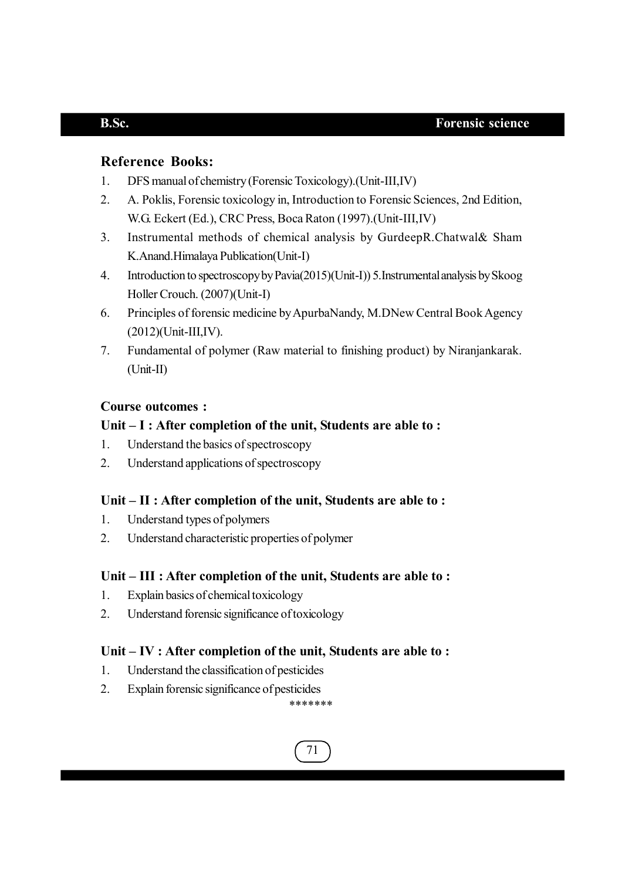## **Reference Books:**

- 1. DFS manual of chemistry (Forensic Toxicology).(Unit-III,IV)
- 2. A. Poklis, Forensic toxicology in, Introduction to Forensic Sciences, 2nd Edition, W.G. Eckert (Ed.), CRC Press, Boca Raton (1997).(Unit-III,IV)
- 3. Instrumental methods of chemical analysis by GurdeepR.Chatwal& Sham K.Anand.Himalaya Publication(Unit-I)
- 4. Introduction to spectroscopy by Pavia(2015)(Unit-I)) 5.Instrumental analysis by Skoog Holler Crouch. (2007)(Unit-I)
- 6. Principles of forensic medicine by ApurbaNandy, M.DNew Central Book Agency (2012)(Unit-III,IV).
- 7. Fundamental of polymer (Raw material to finishing product) by Niranjankarak. (Unit-II)

## **Course outcomes :**

## **Unit – I : After completion of the unit, Students are able to :**

- 1. Understand the basics of spectroscopy
- 2. Understand applications of spectroscopy

## **Unit – II : After completion of the unit, Students are able to :**

- 1. Understand types of polymers
- 2. Understand characteristic properties of polymer

## **Unit – III : After completion of the unit, Students are able to :**

- 1. Explain basics of chemical toxicology
- 2. Understand forensic significance of toxicology

## **Unit – IV : After completion of the unit, Students are able to :**

- 1. Understand the classification of pesticides
- 2. Explain forensic significance of pesticides

\*\*\*\*\*\*\*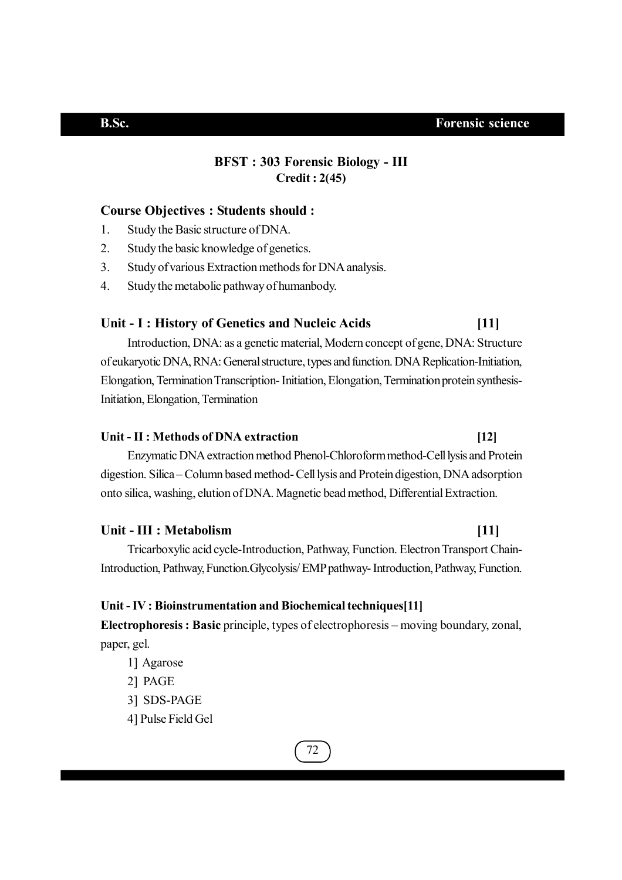## **BFST : 303 Forensic Biology - III Credit : 2(45)**

### **Course Objectives : Students should :**

- 1. Study the Basic structure of DNA.
- 2. Study the basic knowledge of genetics.
- 3. Study of various Extraction methods for DNA analysis.
- 4. Study the metabolic pathway of humanbody.

### **Unit - I : History of Genetics and Nucleic Acids [11]**

Introduction, DNA: as a genetic material, Modern concept of gene, DNA: Structure of eukaryotic DNA, RNA: General structure, types and function. DNA Replication-Initiation, Elongation, Termination Transcription- Initiation, Elongation, Termination protein synthesis-Initiation, Elongation, Termination

## **Unit - II : Methods of DNA extraction [12]**

Enzymatic DNA extraction method Phenol-Chloroform method-Cell lysis and Protein digestion. Silica – Column based method- Cell lysis and Protein digestion, DNA adsorption onto silica, washing, elution of DNA. Magnetic bead method, Differential Extraction.

### **Unit - III : Metabolism [11]**

Tricarboxylic acid cycle-Introduction, Pathway, Function. Electron Transport Chain-Introduction, Pathway, Function.Glycolysis/ EMP pathway- Introduction, Pathway, Function.

### **Unit - IV : Bioinstrumentation and Biochemical techniques[11]**

**Electrophoresis : Basic** principle, types of electrophoresis – moving boundary, zonal, paper, gel.

1] Agarose

2] PAGE

- 3] SDS-PAGE
- 4] Pulse Field Gel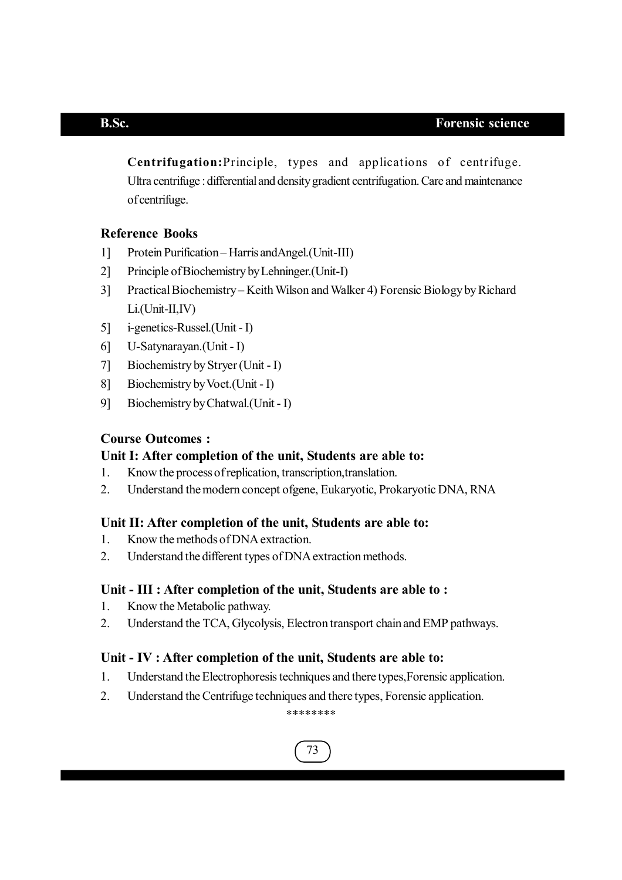**Centrifugation:**Principle, types and applications of centrifuge. Ultra centrifuge : differential and density gradient centrifugation. Care and maintenance of centrifuge.

## **Reference Books**

- 1] Protein Purification Harris andAngel.(Unit-III)
- 2] Principle of Biochemistry by Lehninger.(Unit-I)
- 3] Practical Biochemistry Keith Wilson and Walker 4) Forensic Biology by Richard Li.(Unit-II,IV)
- 5] i-genetics-Russel.(Unit I)
- 6] U-Satynarayan.(Unit I)
- 7] Biochemistry by Stryer (Unit I)
- 8] Biochemistry by Voet.(Unit I)
- 9] Biochemistry by Chatwal.(Unit I)

## **Course Outcomes :**

## **Unit I: After completion of the unit, Students are able to:**

- 1. Know the process of replication, transcription,translation.
- 2. Understand the modern concept ofgene, Eukaryotic, Prokaryotic DNA, RNA

### **Unit II: After completion of the unit, Students are able to:**

- 1. Know the methods of DNA extraction.
- 2. Understand the different types of DNA extraction methods.

## **Unit - III : After completion of the unit, Students are able to :**

- 1. Know the Metabolic pathway.
- 2. Understand the TCA, Glycolysis, Electron transport chain and EMP pathways.

### **Unit - IV : After completion of the unit, Students are able to:**

- 1. Understand the Electrophoresis techniques and there types,Forensic application.
- 2. Understand the Centrifuge techniques and there types, Forensic application.

### \*\*\*\*\*\*\*\*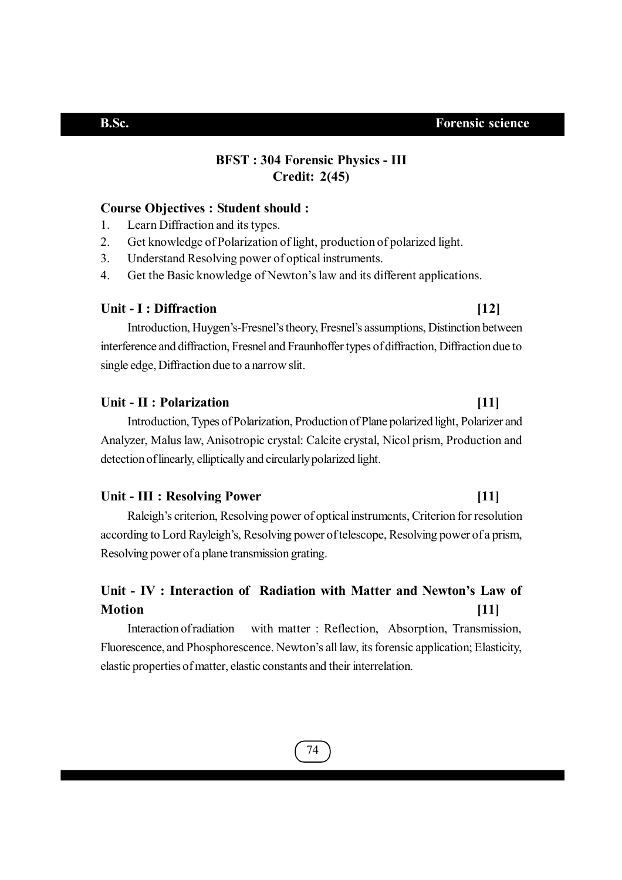## **BFST : 304 Forensic Physics - III Credit: 2(45)**

### **Course Objectives : Student should :**

- 1. Learn Diffraction and its types.
- 2. Get knowledge of Polarization of light, production of polarized light.
- 3. Understand Resolving power of optical instruments.
- 4. Get the Basic knowledge of Newton's law and its different applications.

## **Unit - I : Diffraction [12]**

## Introduction, Huygen's-Fresnel's theory, Fresnel's assumptions, Distinction between interference and diffraction, Fresnel and Fraunhoffer types of diffraction, Diffraction due to single edge, Diffraction due to a narrow slit.

### **Unit - II : Polarization [11]**

Introduction, Types of Polarization, Production of Plane polarized light, Polarizer and Analyzer, Malus law, Anisotropic crystal: Calcite crystal, Nicol prism, Production and detection of linearly, elliptically and circularly polarized light.

### **Unit - III : Resolving Power [11]**

Raleigh's criterion, Resolving power of optical instruments, Criterion for resolution according to Lord Rayleigh's, Resolving power of telescope, Resolving power of a prism, Resolving power of a plane transmission grating.

## **Unit - IV : Interaction of Radiation with Matter and Newton's Law of Motion [11]**

Interaction of radiation with matter : Reflection, Absorption, Transmission, Fluorescence, and Phosphorescence. Newton's all law, its forensic application; Elasticity, elastic properties of matter, elastic constants and their interrelation.

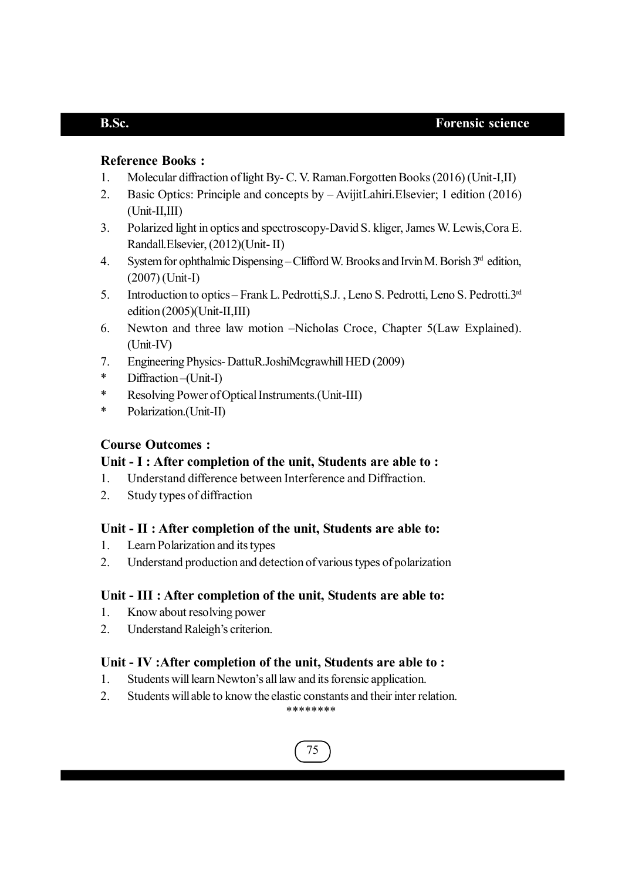## **Reference Books :**

- 1. Molecular diffraction of light By- C. V. Raman.Forgotten Books (2016) (Unit-I,II)
- 2. Basic Optics: Principle and concepts by AvijitLahiri.Elsevier; 1 edition (2016) (Unit-II,III)
- 3. Polarized light in optics and spectroscopy-David S. kliger, James W. Lewis,Cora E. Randall.Elsevier, (2012)(Unit- II)
- 4. System for ophthalmic Dispensing Clifford W. Brooks and Irvin M. Borish 3rd edition, (2007) (Unit-I)
- 5. Introduction to optics Frank L. Pedrotti,S.J. , Leno S. Pedrotti, Leno S. Pedrotti.3rd edition (2005)(Unit-II,III)
- 6. Newton and three law motion –Nicholas Croce, Chapter 5(Law Explained). (Unit-IV)
- 7. Engineering Physics- DattuR.JoshiMcgrawhill HED (2009)
- \* Diffraction –(Unit-I)
- \* Resolving Power of Optical Instruments.(Unit-III)
- \* Polarization.(Unit-II)

## **Course Outcomes :**

## **Unit - I : After completion of the unit, Students are able to :**

- 1. Understand difference between Interference and Diffraction.
- 2. Study types of diffraction

## **Unit - II : After completion of the unit, Students are able to:**

- 1. Learn Polarization and its types
- 2. Understand production and detection of various types of polarization

## **Unit - III : After completion of the unit, Students are able to:**

- 1. Know about resolving power
- 2. Understand Raleigh's criterion.

## **Unit - IV :After completion of the unit, Students are able to :**

- 1. Students will learn Newton's all law and its forensic application.
- 2. Students will able to know the elastic constants and their inter relation.

## \*\*\*\*\*\*\*\*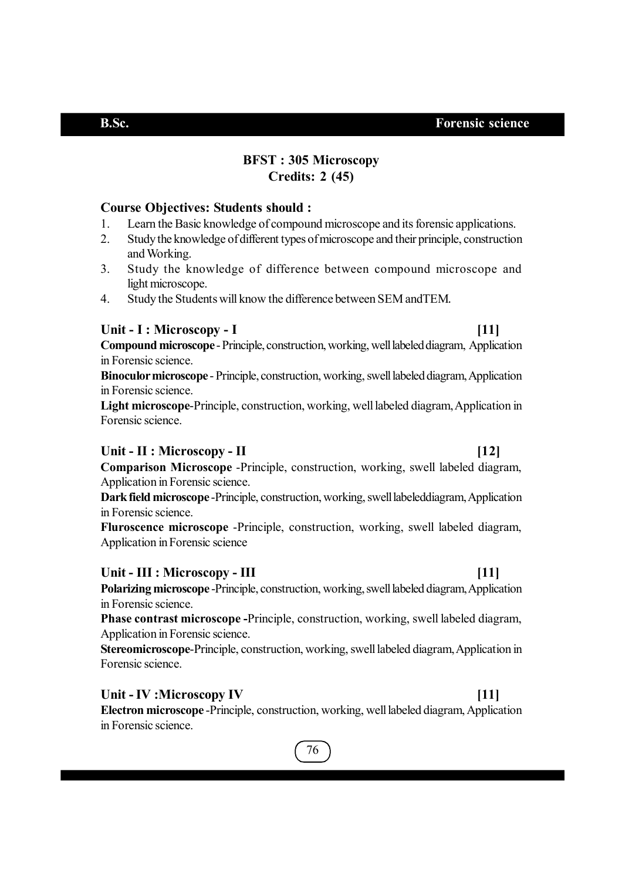## **BFST : 305 Microscopy Credits: 2 (45)**

## **Course Objectives: Students should :**

- 1. Learn the Basic knowledge of compound microscope and its forensic applications.
- 2. Study the knowledge of different types of microscope and their principle, construction and Working.
- 3. Study the knowledge of difference between compound microscope and light microscope.
- 4. Study the Students will know the difference between SEM andTEM.

## **Unit - I : Microscopy - I [11]**

**Compound microscope** - Principle, construction, working, well labeled diagram, Application in Forensic science.

**Binoculor microscope** - Principle, construction, working, swell labeled diagram, Application in Forensic science.

**Light microscope**-Principle, construction, working, well labeled diagram, Application in Forensic science.

## **Unit - II : Microscopy - II [12]**

**Comparison Microscope** -Principle, construction, working, swell labeled diagram, Application in Forensic science.

**Dark field microscope** -Principle, construction, working, swell labeleddiagram, Application in Forensic science.

**Fluroscence microscope** -Principle, construction, working, swell labeled diagram, Application in Forensic science

## Unit - III : Microscopy - III *l* [11]

**Polarizing microscope** -Principle, construction, working, swell labeled diagram, Application in Forensic science.

**Phase contrast microscope -**Principle, construction, working, swell labeled diagram, Application in Forensic science.

**Stereomicroscope**-Principle, construction, working, swell labeled diagram, Application in Forensic science.

## **Unit - IV :Microscopy IV [11]**

**Electron microscope** -Principle, construction, working, well labeled diagram, Application in Forensic science.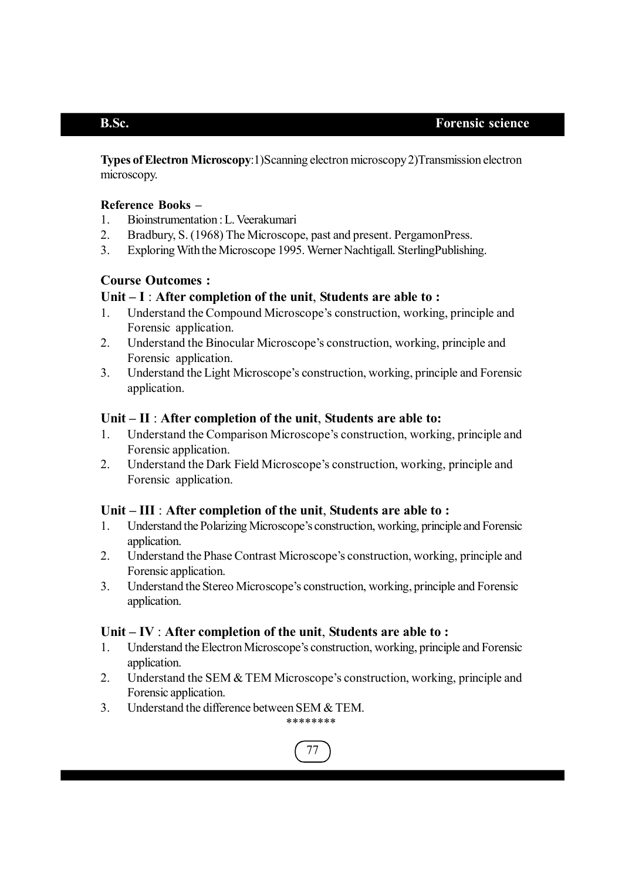**Types of Electron Microscopy**:1)Scanning electron microscopy 2)Transmission electron microscopy.

## **Reference Books –**

- 1. Bioinstrumentation : L. Veerakumari
- 2. Bradbury, S. (1968) The Microscope, past and present. PergamonPress.
- 3. Exploring With the Microscope 1995. Werner Nachtigall. SterlingPublishing.

## **Course Outcomes :**

## **Unit – I** : **After completion of the unit**, **Students are able to :**

- 1. Understand the Compound Microscope's construction, working, principle and Forensic application.
- 2. Understand the Binocular Microscope's construction, working, principle and Forensic application.
- 3. Understand the Light Microscope's construction, working, principle and Forensic application.

## **Unit – II** : **After completion of the unit**, **Students are able to:**

- 1. Understand the Comparison Microscope's construction, working, principle and Forensic application.
- 2. Understand the Dark Field Microscope's construction, working, principle and Forensic application.

## **Unit – III** : **After completion of the unit**, **Students are able to :**

- 1. Understand the Polarizing Microscope's construction, working, principle and Forensic application.
- 2. Understand the Phase Contrast Microscope's construction, working, principle and Forensic application.
- 3. Understand the Stereo Microscope's construction, working, principle and Forensic application.

## **Unit – IV** : **After completion of the unit**, **Students are able to :**

- 1. Understand the Electron Microscope's construction, working, principle and Forensic application.
- 2. Understand the SEM & TEM Microscope's construction, working, principle and Forensic application
- 3. Understand the difference between SEM & TEM.

77

\*\*\*\*\*\*\*\*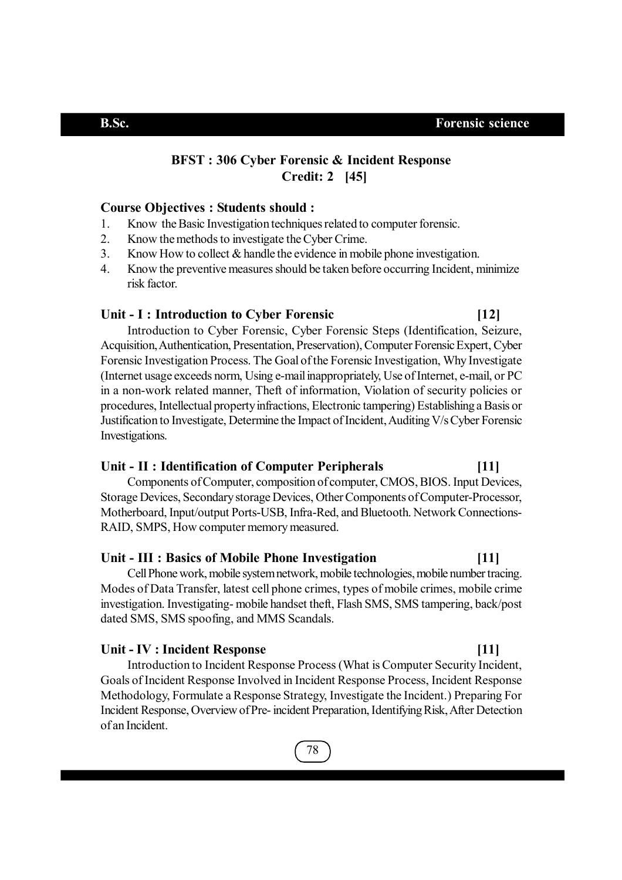## **BFST : 306 Cyber Forensic & Incident Response Credit: 2 [45]**

### **Course Objectives : Students should :**

- 1. Know the Basic Investigation techniques related to computer forensic.
- 2. Know the methods to investigate the Cyber Crime.
- 3. Know How to collect & handle the evidence in mobile phone investigation.
- 4. Know the preventive measures should be taken before occurring Incident, minimize risk factor.

### **Unit - I : Introduction to Cyber Forensic [12]**

Introduction to Cyber Forensic, Cyber Forensic Steps (Identification, Seizure, Acquisition, Authentication, Presentation, Preservation), Computer Forensic Expert, Cyber Forensic Investigation Process. The Goal of the Forensic Investigation, Why Investigate (Internet usage exceeds norm, Using e-mail inappropriately, Use of Internet, e-mail, or PC in a non-work related manner, Theft of information, Violation of security policies or procedures, Intellectual property infractions, Electronic tampering) Establishing a Basis or Justification to Investigate, Determine the Impact of Incident, Auditing V/s Cyber Forensic Investigations.

### **Unit - II : Identification of Computer Peripherals [11]**

Components of Computer, composition of computer, CMOS, BIOS. Input Devices, Storage Devices, Secondary storage Devices, Other Components of Computer-Processor, Motherboard, Input/output Ports-USB, Infra-Red, and Bluetooth. Network Connections-RAID, SMPS, How computer memory measured.

### **Unit - III : Basics of Mobile Phone Investigation [11]**

Cell Phone work, mobile system network, mobile technologies, mobile number tracing. Modes of Data Transfer, latest cell phone crimes, types of mobile crimes, mobile crime investigation. Investigating- mobile handset theft, Flash SMS, SMS tampering, back/post dated SMS, SMS spoofing, and MMS Scandals.

### **Unit - IV : Incident Response [11]**

Introduction to Incident Response Process (What is Computer Security Incident, Goals of Incident Response Involved in Incident Response Process, Incident Response Methodology, Formulate a Response Strategy, Investigate the Incident.) Preparing For Incident Response, Overview of Pre- incident Preparation, Identifying Risk, After Detection of an Incident.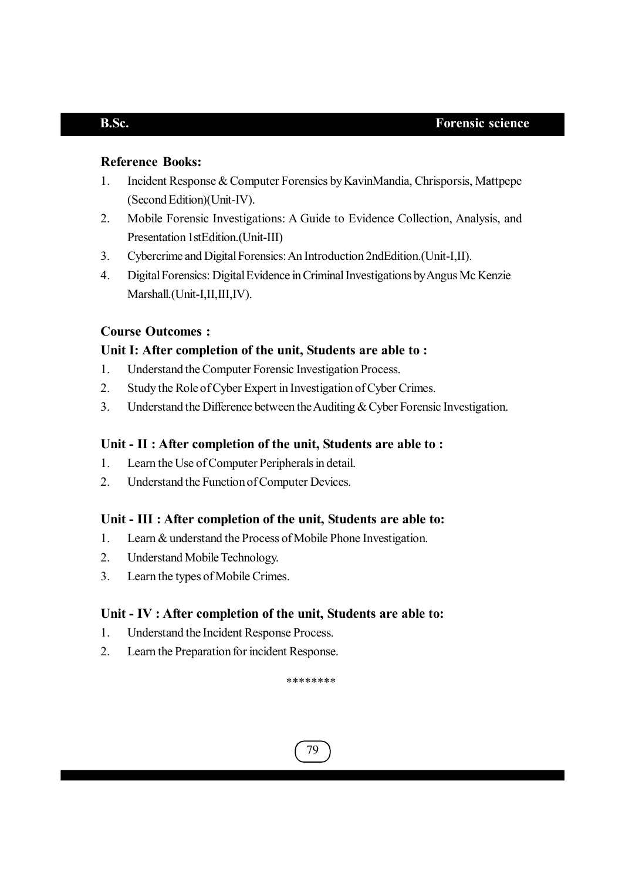## **Reference Books:**

- 1. Incident Response & Computer Forensics by KavinMandia, Chrisporsis, Mattpepe (Second Edition)(Unit-IV).
- 2. Mobile Forensic Investigations: A Guide to Evidence Collection, Analysis, and Presentation 1stEdition.(Unit-III)
- 3. Cybercrime and Digital Forensics: An Introduction 2ndEdition.(Unit-I,II).
- 4. Digital Forensics: Digital Evidence in Criminal Investigations by Angus Mc Kenzie Marshall.(Unit-I,II,III,IV).

## **Course Outcomes :**

## **Unit I: After completion of the unit, Students are able to :**

- 1. Understand the Computer Forensic Investigation Process.
- 2. Study the Role of Cyber Expert in Investigation of Cyber Crimes.
- 3. Understand the Difference between the Auditing & Cyber Forensic Investigation.

## **Unit - II : After completion of the unit, Students are able to :**

- 1. Learn the Use of Computer Peripherals in detail.
- 2. Understand the Function of Computer Devices.

## **Unit - III : After completion of the unit, Students are able to:**

- 1. Learn & understand the Process of Mobile Phone Investigation.
- 2. Understand Mobile Technology.
- 3. Learn the types of Mobile Crimes.

## **Unit - IV : After completion of the unit, Students are able to:**

- 1. Understand the Incident Response Process.
- 2. Learn the Preparation for incident Response.

\*\*\*\*\*\*\*\*

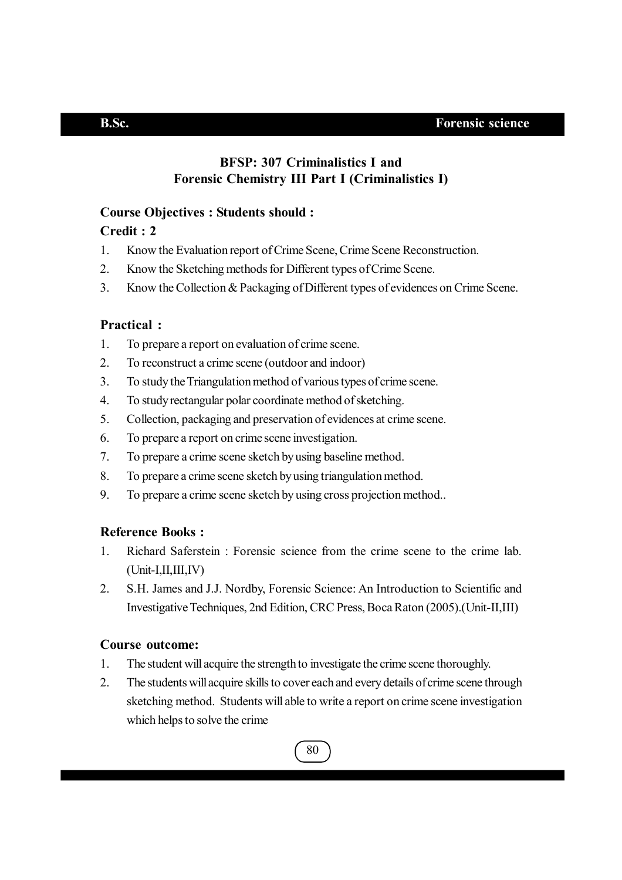## **BFSP: 307 Criminalistics I and Forensic Chemistry III Part I (Criminalistics I)**

## **Course Objectives : Students should :**

## **Credit : 2**

- 1. Know the Evaluation report of Crime Scene, Crime Scene Reconstruction.
- 2. Know the Sketching methods for Different types of Crime Scene.
- 3. Know the Collection & Packaging of Different types of evidences on Crime Scene.

## **Practical :**

- 1. To prepare a report on evaluation of crime scene.
- 2. To reconstruct a crime scene (outdoor and indoor)
- 3. To study the Triangulation method of various types of crime scene.
- 4. To study rectangular polar coordinate method of sketching.
- 5. Collection, packaging and preservation of evidences at crime scene.
- 6. To prepare a report on crime scene investigation.
- 7. To prepare a crime scene sketch by using baseline method.
- 8. To prepare a crime scene sketch by using triangulation method.
- 9. To prepare a crime scene sketch by using cross projection method..

## **Reference Books :**

- 1. Richard Saferstein : Forensic science from the crime scene to the crime lab.  $(Unit-I, II, III, IV)$
- 2. S.H. James and J.J. Nordby, Forensic Science: An Introduction to Scientific and Investigative Techniques, 2nd Edition, CRC Press, Boca Raton (2005).(Unit-II,III)

## **Course outcome:**

- 1. The student will acquire the strength to investigate the crime scene thoroughly.
- 2. The students will acquire skills to cover each and every details of crime scene through sketching method. Students will able to write a report on crime scene investigation which helps to solve the crime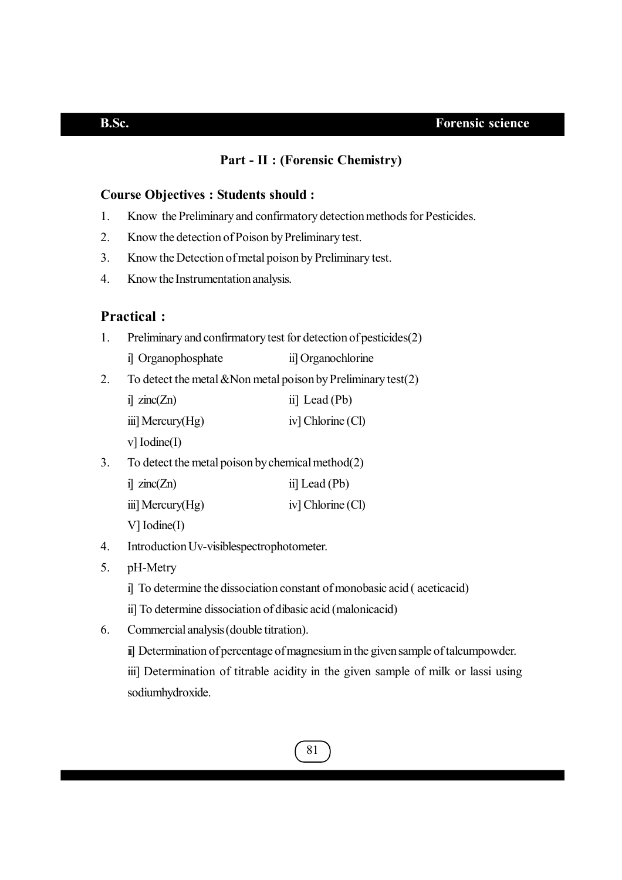## **Part - II : (Forensic Chemistry)**

### **Course Objectives : Students should :**

- 1. Know the Preliminary and confirmatory detection methods for Pesticides.
- 2. Know the detection of Poison by Preliminary test.
- 3. Know the Detection of metal poison by Preliminary test.
- 4. Know the Instrumentation analysis.

## **Practical :**

- 1. Preliminary and confirmatory test for detection of pesticides(2)
	- i] Organophosphate ii] Organochlorine
- 2. To detect the metal  $\&$ Non metal poison by Preliminary test(2)

| $i$ zinc $(Zn)$     | ii] Lead $(Pb)$   |
|---------------------|-------------------|
| iii] Mercury $(Hg)$ | iv] Chlorine (Cl) |

v] Iodine(I)

3. To detect the metal poison by chemical method(2)

| $i$ zinc $(Zn)$  | ii] Lead $(Pb)$   |
|------------------|-------------------|
| iii] Mercury(Hg) | iv] Chlorine (Cl) |

V] Iodine(I)

- 4. Introduction Uv-visiblespectrophotometer.
- 5. pH-Metry
	- i] To determine the dissociation constant of monobasic acid ( aceticacid)
	- ii] To determine dissociation of dibasic acid (malonicacid)
- 6. Commercial analysis (double titration).

ii] Determination of percentage of magnesium in the given sample of talcumpowder. iii] Determination of titrable acidity in the given sample of milk or lassi using sodiumhydroxide.

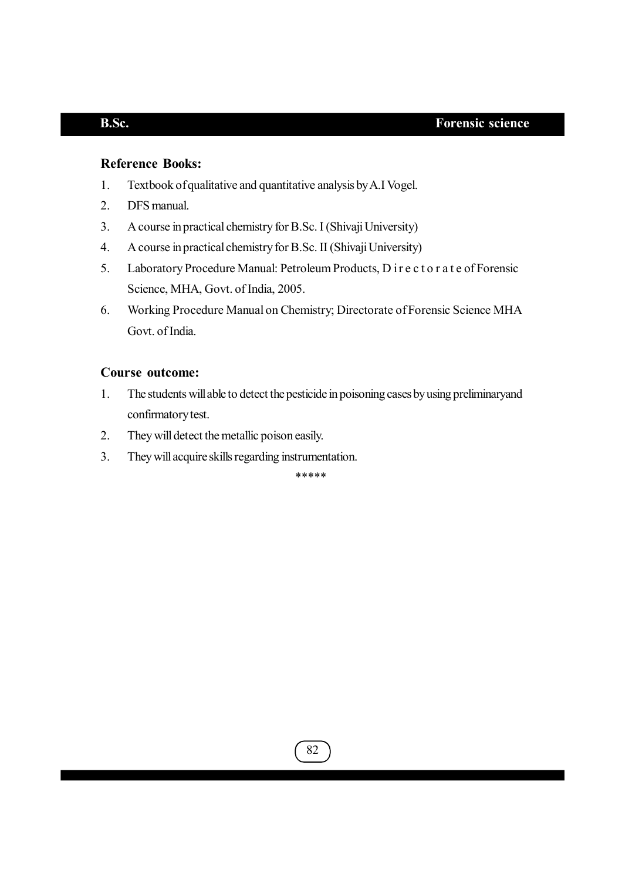## **Reference Books:**

- 1. Textbook of qualitative and quantitative analysis by A.I Vogel.
- 2. DFS manual.
- 3. A course in practical chemistry for B.Sc. I (Shivaji University)
- 4. A course in practical chemistry for B.Sc. II (Shivaji University)
- 5. Laboratory Procedure Manual: Petroleum Products, D i r e c t o r a t e of Forensic Science, MHA, Govt. of India, 2005.
- 6. Working Procedure Manual on Chemistry; Directorate of Forensic Science MHA Govt. of India.

## **Course outcome:**

- 1. The students will able to detect the pesticide in poisoning cases by using preliminaryand confirmatory test.
- 2. They will detect the metallic poison easily.
- 3. They will acquire skills regarding instrumentation.

\*\*\*\*\*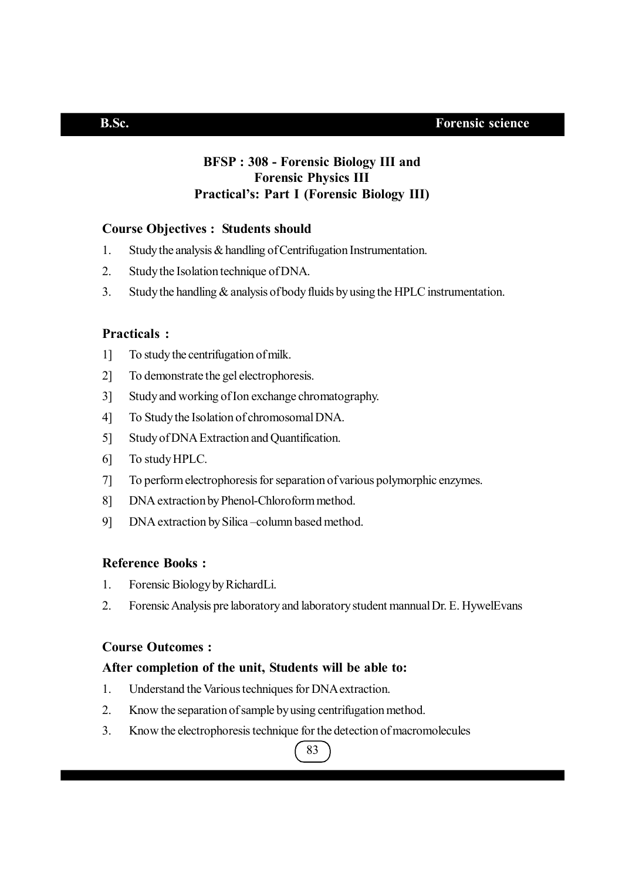## **BFSP : 308 - Forensic Biology III and Forensic Physics III Practical's: Part I (Forensic Biology III)**

## **Course Objectives : Students should**

- 1. Study the analysis & handling of Centrifugation Instrumentation.
- 2. Study the Isolation technique of DNA.
- 3. Study the handling & analysis of body fluids by using the HPLC instrumentation.

## **Practicals :**

- 1] To study the centrifugation of milk.
- 2] To demonstrate the gel electrophoresis.
- 3] Study and working of Ion exchange chromatography.
- 4] To Study the Isolation of chromosomal DNA.
- 5] Study of DNA Extraction and Quantification.
- 6] To study HPLC.
- 7] To perform electrophoresis for separation of various polymorphic enzymes.
- 8] DNA extraction by Phenol-Chloroform method.
- 9] DNA extraction by Silica –column based method.

### **Reference Books :**

- 1. Forensic Biology by RichardLi.
- 2. Forensic Analysis pre laboratory and laboratory student mannual Dr. E. HywelEvans

## **Course Outcomes :**

## **After completion of the unit, Students will be able to:**

- 1. Understand the Various techniques for DNA extraction.
- 2. Know the separation of sample by using centrifugation method.
- 3. Know the electrophoresis technique for the detection of macromolecules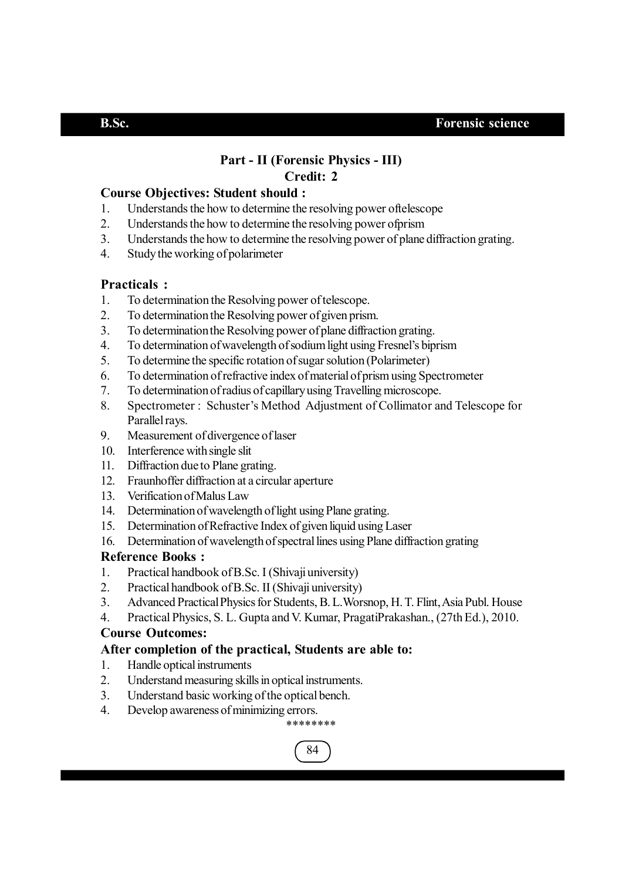## **Part - II (Forensic Physics - III) Credit: 2**

## **Course Objectives: Student should :**

- 1. Understands the how to determine the resolving power oftelescope
- 2. Understands the how to determine the resolving power ofprism
- 3. Understands the how to determine the resolving power of plane diffraction grating.
- 4. Study the working of polarimeter

## **Practicals :**

- 1. To determination the Resolving power of telescope.
- 2. To determination the Resolving power of given prism.
- 3. To determination the Resolving power of plane diffraction grating.
- 4. To determination of wavelength of sodium light using Fresnel's biprism
- 5. To determine the specific rotation of sugar solution (Polarimeter)
- 6. To determination of refractive index of material of prism using Spectrometer
- 7. To determination of radius of capillary using Travelling microscope.
- 8. Spectrometer : Schuster's Method Adjustment of Collimator and Telescope for Parallel rays.
- 9. Measurement of divergence of laser
- 10. Interference with single slit
- 11. Diffraction due to Plane grating.
- 12. Fraunhoffer diffraction at a circular aperture
- 13. Verification of Malus Law
- 14. Determination of wavelength of light using Plane grating.
- 15. Determination of Refractive Index of given liquid using Laser
- 16. Determination of wavelength of spectral lines using Plane diffraction grating

## **Reference Books :**

- 1. Practical handbook of B.Sc. I (Shivaji university)
- 2. Practical handbook of B.Sc. II (Shivaji university)
- 3. Advanced Practical Physics for Students, B. L.Worsnop, H. T. Flint, Asia Publ. House
- 4. Practical Physics, S. L. Gupta and V. Kumar, PragatiPrakashan., (27th Ed.), 2010.

## **Course Outcomes:**

## **After completion of the practical, Students are able to:**

- 1. Handle optical instruments
- 2. Understand measuring skills in optical instruments.
- 3. Understand basic working of the optical bench.
- 4. Develop awareness of minimizing errors.

## \*\*\*\*\*\*\*\*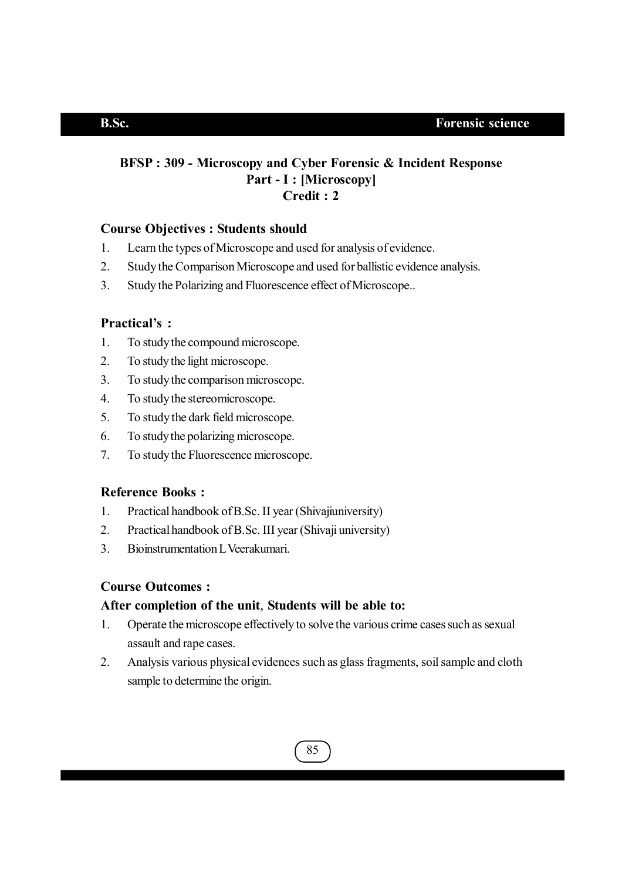## **BFSP : 309 - Microscopy and Cyber Forensic & Incident Response Part - I : [Microscopy] Credit : 2**

## **Course Objectives : Students should**

- 1. Learn the types of Microscope and used for analysis of evidence.
- 2. Study the Comparison Microscope and used for ballistic evidence analysis.
- 3. Study the Polarizing and Fluorescence effect of Microscope..

## **Practical's :**

- 1. To study the compound microscope.
- 2. To study the light microscope.
- 3. To study the comparison microscope.
- 4. To study the stereomicroscope.
- 5. To study the dark field microscope.
- 6. To study the polarizing microscope.
- 7. To study the Fluorescence microscope.

## **Reference Books :**

- 1. Practical handbook of B.Sc. II year (Shivajiuniversity)
- 2. Practical handbook of B.Sc. III year (Shivaji university)
- 3. Bioinstrumentation L Veerakumari.

## **Course Outcomes :**

## **After completion of the unit**, **Students will be able to:**

- 1. Operate the microscope effectively to solve the various crime cases such as sexual assault and rape cases.
- 2. Analysis various physical evidences such as glass fragments, soil sample and cloth sample to determine the origin.

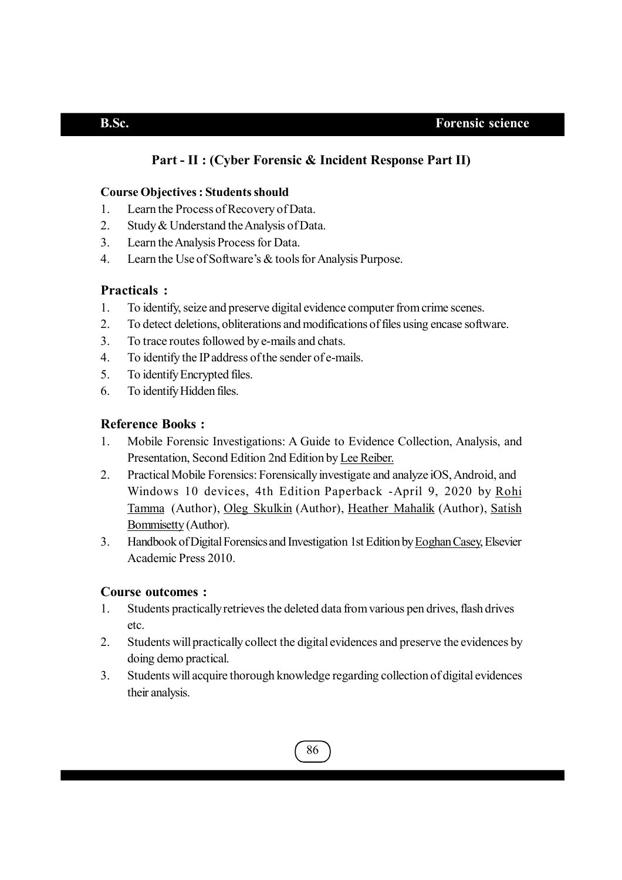## **Part - II : (Cyber Forensic & Incident Response Part II)**

## **Course Objectives : Students should**

- 1. Learn the Process of Recovery of Data.
- 2. Study & Understand the Analysis of Data.
- 3. Learn the Analysis Process for Data.
- 4. Learn the Use of Software's & tools for Analysis Purpose.

## **Practicals :**

- 1. To identify, seize and preserve digital evidence computer from crime scenes.
- 2. To detect deletions, obliterations and modifications of files using encase software.
- 3. To trace routes followed by e-mails and chats.
- 4. To identify the IP address of the sender of e-mails.
- 5. To identify Encrypted files.
- 6. To identify Hidden files.

## **Reference Books :**

- 1. Mobile Forensic Investigations: A Guide to Evidence Collection, Analysis, and Presentation, Second Edition 2nd Edition by Lee Reiber.
- 2. Practical Mobile Forensics: Forensically investigate and analyze iOS, Android, and Windows 10 devices, 4th Edition Paperback -April 9, 2020 by Rohi Tamma (Author), Oleg Skulkin (Author), Heather Mahalik (Author), Satish Bommisetty (Author).
- 3. Handbook of Digital Forensics and Investigation 1st Edition by Eoghan Casey, Elsevier Academic Press 2010.

## **Course outcomes :**

- 1. Students practically retrieves the deleted data from various pen drives, flash drives etc.
- 2. Students will practically collect the digital evidences and preserve the evidences by doing demo practical.
- 3. Students will acquire thorough knowledge regarding collection of digital evidences their analysis.

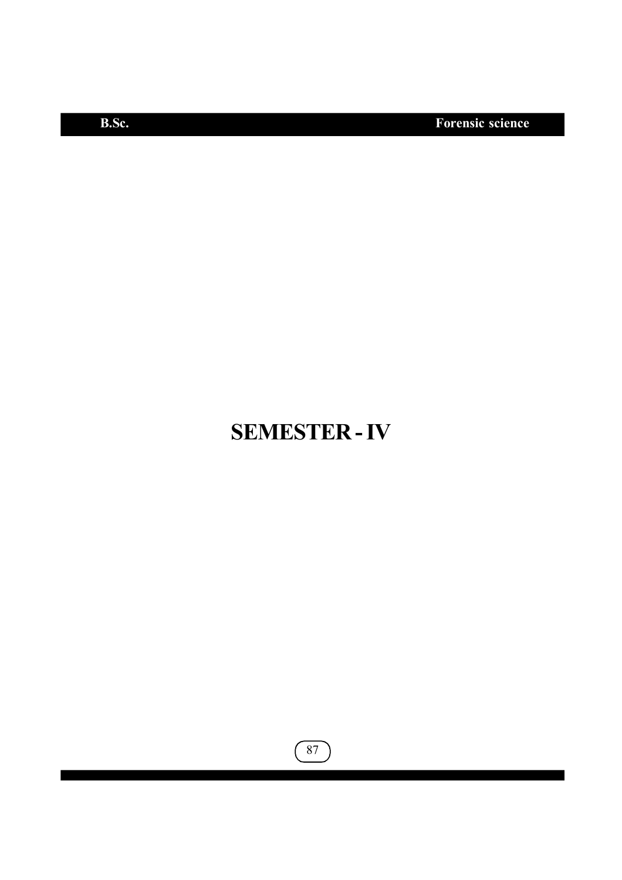**B.Sc. Forensic science**

# **SEMESTER - IV**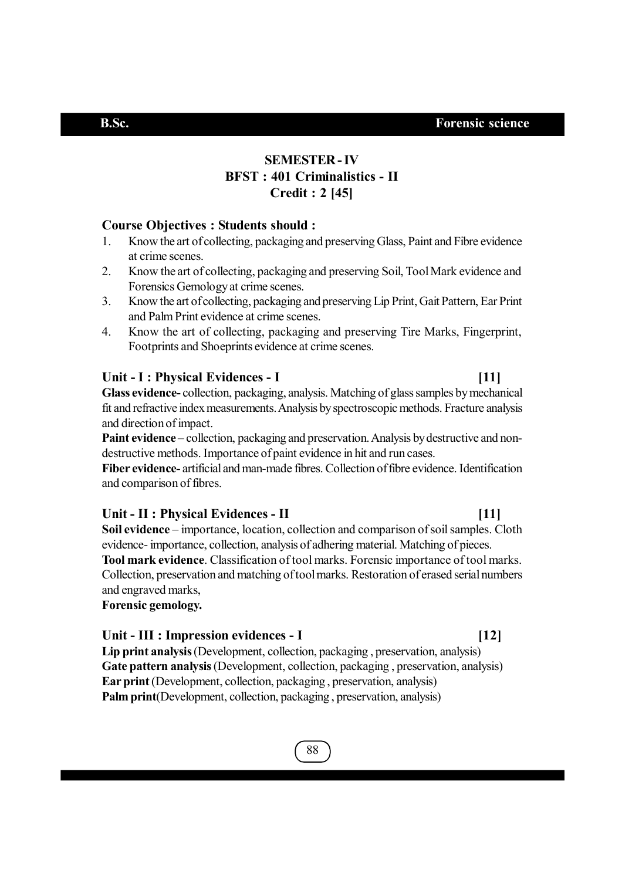## **SEMESTER - IV BFST : 401 Criminalistics - II Credit : 2 [45]**

## **Course Objectives : Students should :**

- 1. Know the art of collecting, packaging and preserving Glass, Paint and Fibre evidence at crime scenes.
- 2. Know the art of collecting, packaging and preserving Soil, Tool Mark evidence and Forensics Gemology at crime scenes.
- 3. Know the art of collecting, packaging and preserving Lip Print, Gait Pattern, Ear Print and Palm Print evidence at crime scenes.
- 4. Know the art of collecting, packaging and preserving Tire Marks, Fingerprint, Footprints and Shoeprints evidence at crime scenes.

## Unit - I : Physical Evidences - I [11]

**Glass evidence-** collection, packaging, analysis. Matching of glass samples by mechanical fit and refractive index measurements. Analysis by spectroscopic methods. Fracture analysis and direction of impact.

**Paint evidence** – collection, packaging and preservation. Analysis by destructive and nondestructive methods. Importance of paint evidence in hit and run cases.

**Fiber evidence-** artificial and man-made fibres. Collection of fibre evidence. Identification and comparison of fibres.

### **Unit - II : Physical Evidences - II [11]**

**Soil evidence** – importance, location, collection and comparison of soil samples. Cloth evidence- importance, collection, analysis of adhering material. Matching of pieces. **Tool mark evidence**. Classification of tool marks. Forensic importance of tool marks. Collection, preservation and matching of tool marks. Restoration of erased serial numbers and engraved marks,

**Forensic gemology.**

## **Unit - III : Impression evidences - I [12]**

**Lip print analysis** (Development, collection, packaging , preservation, analysis) **Gate pattern analysis** (Development, collection, packaging , preservation, analysis) **Ear print** (Development, collection, packaging , preservation, analysis) **Palm print**(Development, collection, packaging, preservation, analysis)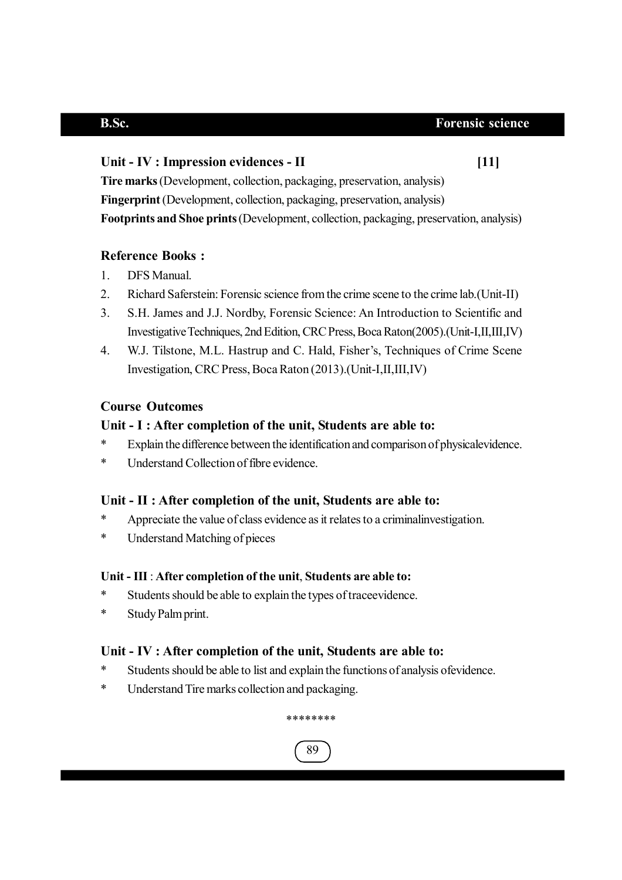## Unit - IV : Impression evidences - II *[11]*

**Tire marks** (Development, collection, packaging, preservation, analysis) **Fingerprint** (Development, collection, packaging, preservation, analysis) **Footprints and Shoe prints** (Development, collection, packaging, preservation, analysis)

## **Reference Books :**

- 1. DFS Manual.
- 2. Richard Saferstein: Forensic science from the crime scene to the crime lab.(Unit-II)
- 3. S.H. James and J.J. Nordby, Forensic Science: An Introduction to Scientific and Investigative Techniques, 2nd Edition, CRC Press, Boca Raton(2005).(Unit-I,II,III,IV)
- 4. W.J. Tilstone, M.L. Hastrup and C. Hald, Fisher's, Techniques of Crime Scene Investigation, CRC Press, Boca Raton (2013).(Unit-I,II,III,IV)

## **Course Outcomes**

## **Unit - I : After completion of the unit, Students are able to:**

- \* Explain the difference between the identification and comparison of physicalevidence.
- \* Understand Collection of fibre evidence.

## **Unit - II : After completion of the unit, Students are able to:**

- \* Appreciate the value of class evidence as it relates to a criminalinvestigation.
- \* Understand Matching of pieces

## **Unit - III** : **After completion of the unit**, **Students are able to:**

- \* Students should be able to explain the types of traceevidence.
- \* Study Palm print.

## **Unit - IV : After completion of the unit, Students are able to:**

- Students should be able to list and explain the functions of analysis ofevidence.
- \* Understand Tire marks collection and packaging.



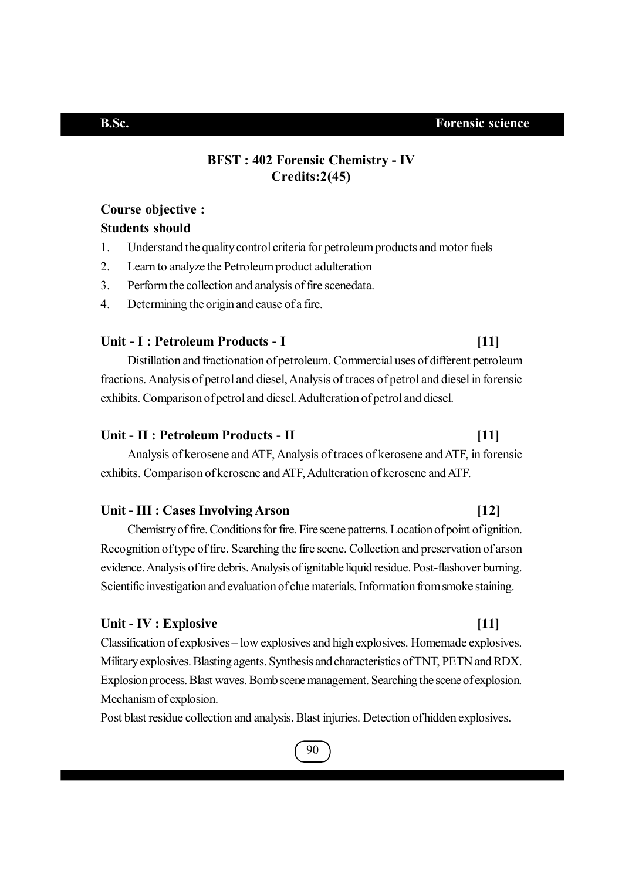## **BFST : 402 Forensic Chemistry - IV Credits:2(45)**

## **Course objective :**

## **Students should**

- 1. Understand the quality control criteria for petroleum products and motor fuels
- 2. Learn to analyze the Petroleum product adulteration
- 3. Perform the collection and analysis of fire scenedata.
- 4. Determining the origin and cause of a fire.

## **Unit - I : Petroleum Products - I [11]**

Distillation and fractionation of petroleum. Commercial uses of different petroleum fractions. Analysis of petrol and diesel, Analysis of traces of petrol and diesel in forensic exhibits. Comparison of petrol and diesel. Adulteration of petrol and diesel.

### **Unit - II : Petroleum Products - II [11]**

Analysis of kerosene and ATF, Analysis of traces of kerosene and ATF, in forensic exhibits. Comparison of kerosene and ATF, Adulteration of kerosene and ATF.

## **Unit - III : Cases Involving Arson [12]**

Chemistry of fire. Conditions for fire. Fire scene patterns. Location of point of ignition. Recognition of type of fire. Searching the fire scene. Collection and preservation of arson evidence. Analysis of fire debris. Analysis of ignitable liquid residue. Post-flashover burning. Scientific investigation and evaluation of clue materials. Information from smoke staining.

## **Unit - IV : Explosive [11]**

Classification of explosives – low explosives and high explosives. Homemade explosives. Military explosives. Blasting agents. Synthesis and characteristics of TNT, PETN and RDX. Explosion process. Blast waves. Bomb scene management. Searching the scene of explosion. Mechanism of explosion.

Post blast residue collection and analysis. Blast injuries. Detection of hidden explosives.

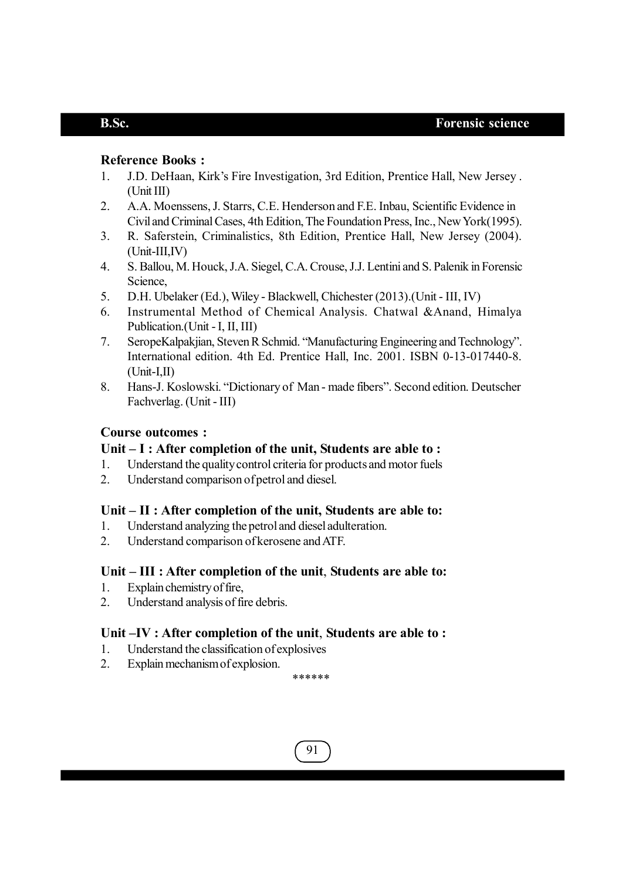## **Reference Books :**

- 1. J.D. DeHaan, Kirk's Fire Investigation, 3rd Edition, Prentice Hall, New Jersey . (Unit III)
- 2. A.A. Moenssens, J. Starrs, C.E. Henderson and F.E. Inbau, Scientific Evidence in Civil and Criminal Cases, 4th Edition, The Foundation Press, Inc., New York(1995).
- 3. R. Saferstein, Criminalistics, 8th Edition, Prentice Hall, New Jersey (2004). (Unit-III,IV)
- 4. S. Ballou, M. Houck, J.A. Siegel, C.A. Crouse, J.J. Lentini and S. Palenik in Forensic Science,
- 5. D.H. Ubelaker (Ed.), Wiley Blackwell, Chichester (2013).(Unit III, IV)
- 6. Instrumental Method of Chemical Analysis. Chatwal &Anand, Himalya Publication.(Unit - I, II, III)
- 7. SeropeKalpakjian, Steven R Schmid. "Manufacturing Engineering and Technology". International edition. 4th Ed. Prentice Hall, Inc. 2001. ISBN 0-13-017440-8.  $(Unit-I,II)$
- 8. Hans-J. Koslowski. "Dictionary of Man made fibers". Second edition. Deutscher Fachverlag. (Unit - III)

### **Course outcomes :**

### **Unit – I : After completion of the unit, Students are able to :**

- 1. Understand the quality control criteria for products and motor fuels
- 2. Understand comparison of petrol and diesel.

### **Unit – II : After completion of the unit, Students are able to:**

- 1. Understand analyzing the petrol and diesel adulteration.
- 2. Understand comparison of kerosene and ATF.

### **Unit – III : After completion of the unit**, **Students are able to:**

- 1. Explain chemistry of fire,
- 2. Understand analysis of fire debris.

### **Unit –IV : After completion of the unit**, **Students are able to :**

- 1. Understand the classification of explosives
- 2. Explain mechanism of explosion.

\*\*\*\*\*\*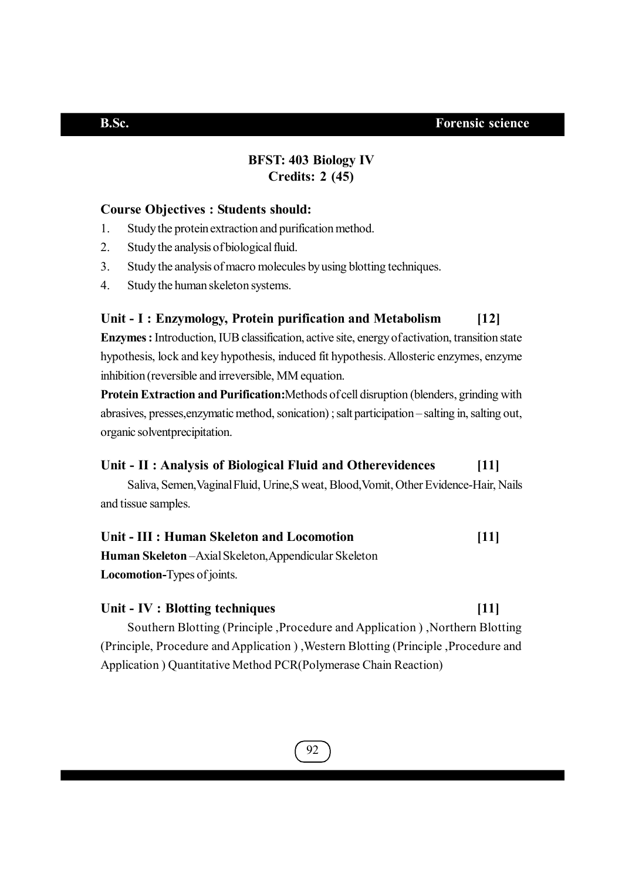## **BFST: 403 Biology IV Credits: 2 (45)**

## **Course Objectives : Students should:**

- 1. Study the protein extraction and purification method.
- 2. Study the analysis of biological fluid.
- 3. Study the analysis of macro molecules by using blotting techniques.
- 4. Study the human skeleton systems.

## **Unit - I : Enzymology, Protein purification and Metabolism [12]**

**Enzymes :** Introduction, IUB classification, active site, energy of activation, transition state hypothesis, lock and key hypothesis, induced fit hypothesis. Allosteric enzymes, enzyme inhibition (reversible and irreversible, MM equation.

**Protein Extraction and Purification:**Methods of cell disruption (blenders, grinding with abrasives, presses,enzymatic method, sonication) ; salt participation – salting in, salting out, organic solventprecipitation.

## **Unit - II : Analysis of Biological Fluid and Otherevidences [11]**

Saliva, Semen,Vaginal Fluid, Urine,S weat, Blood,Vomit, Other Evidence-Hair, Nails and tissue samples.

# **Unit - III : Human Skeleton and Locomotion [11]**

**Human Skeleton** –Axial Skeleton,Appendicular Skeleton **Locomotion-**Types of joints.

### **Unit - IV : Blotting techniques [11]**

Southern Blotting (Principle ,Procedure and Application ) ,Northern Blotting (Principle, Procedure and Application ) ,Western Blotting (Principle ,Procedure and Application ) Quantitative Method PCR(Polymerase Chain Reaction)

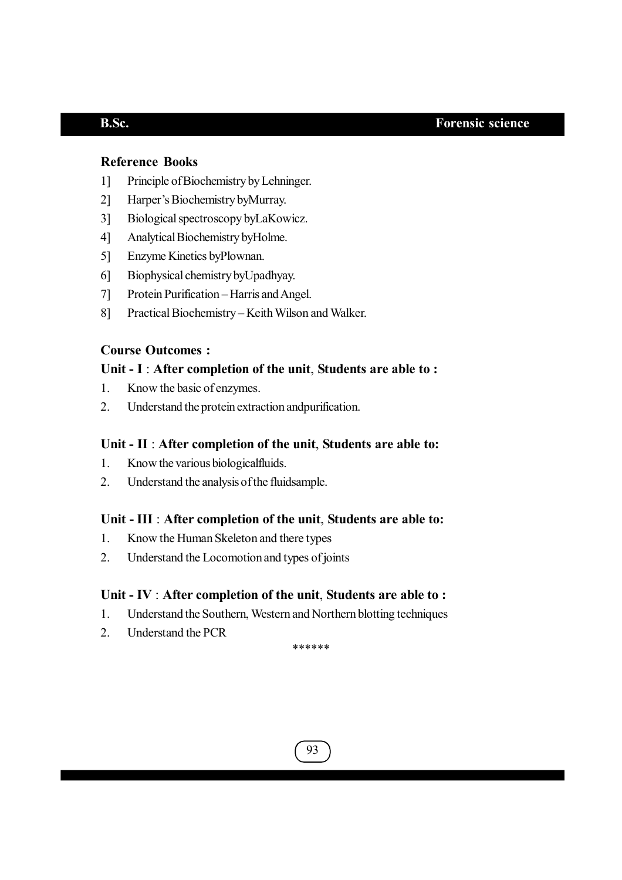## **Reference Books**

- 1] Principle of Biochemistry by Lehninger.
- 2] Harper's Biochemistry byMurray.
- 3] Biological spectroscopy byLaKowicz.
- 4] Analytical Biochemistry byHolme.
- 5] Enzyme Kinetics byPlownan.
- 6] Biophysical chemistry byUpadhyay.
- 7] Protein Purification Harris and Angel.
- 8] Practical Biochemistry Keith Wilson and Walker.

## **Course Outcomes :**

## **Unit - I** : **After completion of the unit**, **Students are able to :**

- 1. Know the basic of enzymes.
- 2. Understand the protein extraction andpurification.

### **Unit - II** : **After completion of the unit**, **Students are able to:**

- 1. Know the various biologicalfluids.
- 2. Understand the analysis of the fluidsample.

### **Unit - III** : **After completion of the unit**, **Students are able to:**

- 1. Know the Human Skeleton and there types
- 2. Understand the Locomotion and types of joints

### **Unit - IV** : **After completion of the unit**, **Students are able to :**

- 1. Understand the Southern, Western and Northern blotting techniques
- 2. Understand the PCR

\*\*\*\*\*\*

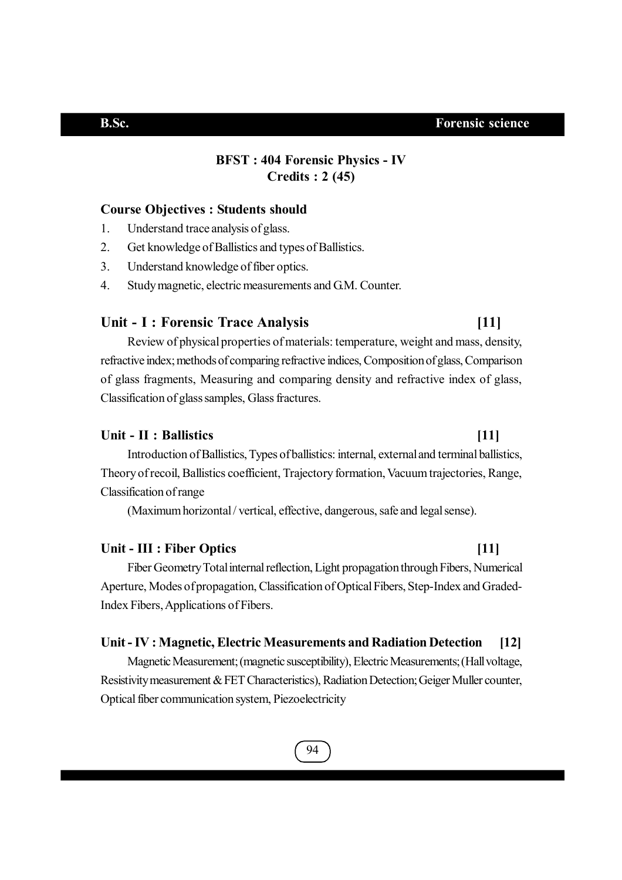## **BFST : 404 Forensic Physics - IV Credits : 2 (45)**

### **Course Objectives : Students should**

- 1. Understand trace analysis of glass.
- 2. Get knowledge of Ballistics and types of Ballistics.
- 3. Understand knowledge of fiber optics.
- 4. Study magnetic, electric measurements and G.M. Counter.

### **Unit - I : Forensic Trace Analysis [11]**

Review of physical properties of materials: temperature, weight and mass, density, refractive index; methods of comparing refractive indices, Composition of glass, Comparison of glass fragments, Measuring and comparing density and refractive index of glass, Classification of glass samples, Glass fractures.

## **Unit - II : Ballistics [11]**

Introduction of Ballistics, Types of ballistics: internal, external and terminal ballistics, Theory of recoil, Ballistics coefficient, Trajectory formation, Vacuum trajectories, Range, Classification of range

(Maximum horizontal / vertical, effective, dangerous, safe and legal sense).

## **Unit - III : Fiber Optics [11]**

Fiber Geometry Total internal reflection, Light propagation through Fibers, Numerical Aperture, Modes of propagation, Classification of Optical Fibers, Step-Index and Graded-Index Fibers, Applications of Fibers.

### **Unit - IV : Magnetic, Electric Measurements and Radiation Detection [12]**

Magnetic Measurement; (magnetic susceptibility), Electric Measurements; (Hall voltage, Resistivity measurement & FET Characteristics), Radiation Detection; Geiger Muller counter, Optical fiber communication system, Piezoelectricity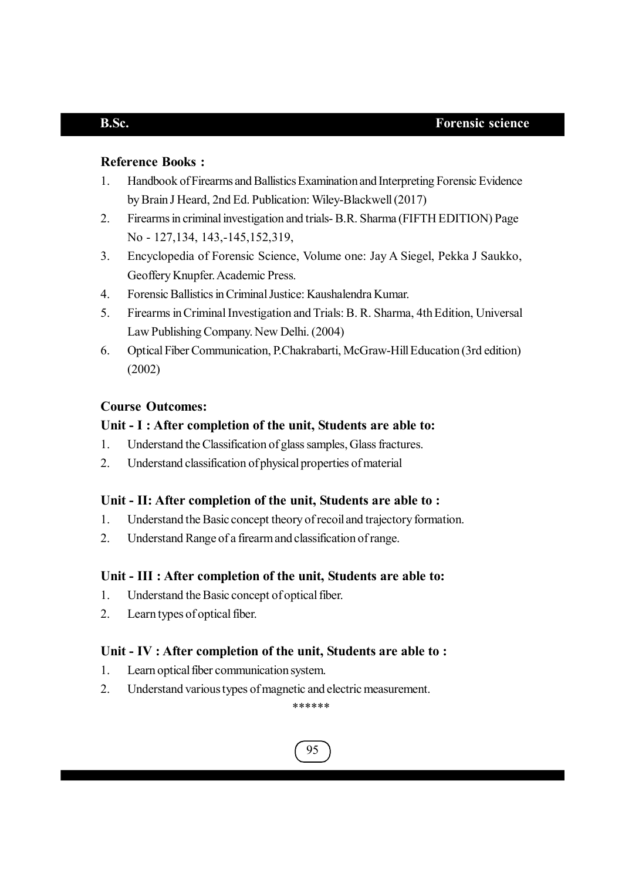## **Reference Books :**

- 1. Handbook of Firearms and Ballistics Examination and Interpreting Forensic Evidence by Brain J Heard, 2nd Ed. Publication: Wiley-Blackwell (2017)
- 2. Firearms in criminal investigation and trials- B.R. Sharma (FIFTH EDITION) Page No - 127,134, 143,-145,152,319,
- 3. Encyclopedia of Forensic Science, Volume one: Jay A Siegel, Pekka J Saukko, Geoffery Knupfer. Academic Press.
- 4. Forensic Ballistics in Criminal Justice: Kaushalendra Kumar.
- 5. Firearms in Criminal Investigation and Trials: B. R. Sharma, 4th Edition, Universal Law Publishing Company. New Delhi. (2004)
- 6. Optical Fiber Communication, P.Chakrabarti, McGraw-Hill Education (3rd edition) (2002)

## **Course Outcomes:**

### **Unit - I : After completion of the unit, Students are able to:**

- 1. Understand the Classification of glass samples, Glass fractures.
- 2. Understand classification of physical properties of material

### **Unit - II: After completion of the unit, Students are able to :**

- 1. Understand the Basic concept theory of recoil and trajectory formation.
- 2. Understand Range of a firearm and classification of range.

### **Unit - III : After completion of the unit, Students are able to:**

- 1. Understand the Basic concept of optical fiber.
- 2. Learn types of optical fiber.

## **Unit - IV : After completion of the unit, Students are able to :**

- 1. Learn optical fiber communication system.
- 2. Understand various types of magnetic and electric measurement.

### \*\*\*\*\*\*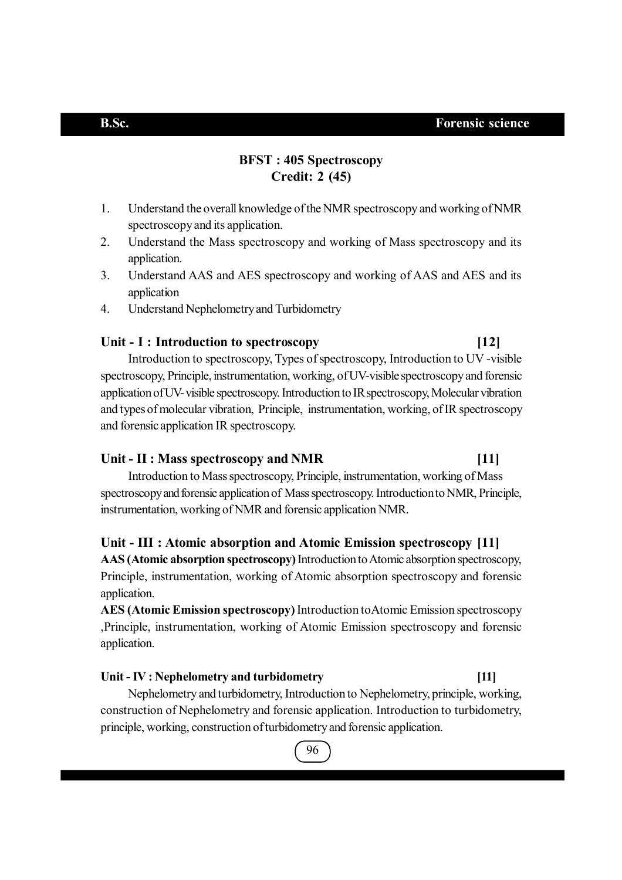## **BFST : 405 Spectroscopy Credit: 2 (45)**

- 1. Understand the overall knowledge of the NMR spectroscopy and working of NMR spectroscopy and its application.
- 2. Understand the Mass spectroscopy and working of Mass spectroscopy and its application.
- 3. Understand AAS and AES spectroscopy and working of AAS and AES and its application
- 4. Understand Nephelometry and Turbidometry

## **Unit - I : Introduction to spectroscopy [12]**

Introduction to spectroscopy, Types of spectroscopy, Introduction to UV -visible spectroscopy, Principle, instrumentation, working, of UV-visible spectroscopy and forensic application of UV- visible spectroscopy. Introduction to IR spectroscopy, Molecular vibration and types of molecular vibration, Principle, instrumentation, working, of IR spectroscopy and forensic application IR spectroscopy.

### **Unit - II : Mass spectroscopy and NMR [11]**

Introduction to Mass spectroscopy, Principle, instrumentation, working of Mass spectroscopy and forensic application of Mass spectroscopy. Introduction to NMR, Principle, instrumentation, working of NMR and forensic application NMR.

### **Unit - III : Atomic absorption and Atomic Emission spectroscopy [11]**

**AAS (Atomic absorption spectroscopy)** Introduction to Atomic absorption spectroscopy, Principle, instrumentation, working of Atomic absorption spectroscopy and forensic application.

**AES (Atomic Emission spectroscopy)** Introduction toAtomic Emission spectroscopy ,Principle, instrumentation, working of Atomic Emission spectroscopy and forensic application.

### **Unit - IV : Nephelometry and turbidometry [11]**

Nephelometry and turbidometry, Introduction to Nephelometry, principle, working, construction of Nephelometry and forensic application. Introduction to turbidometry, principle, working, construction of turbidometry and forensic application.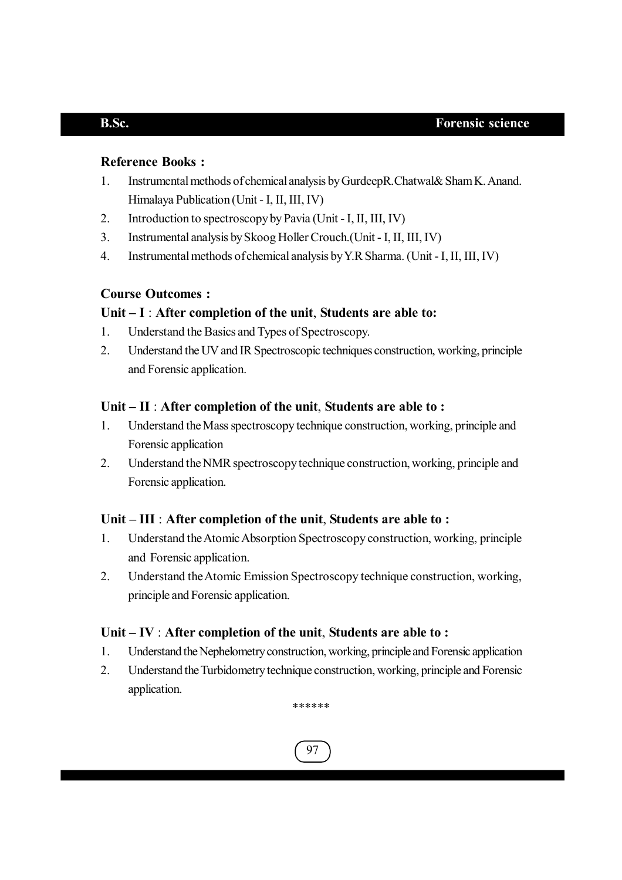## **Reference Books :**

- 1. Instrumental methods of chemical analysis by GurdeepR.Chatwal& Sham K. Anand. Himalaya Publication (Unit - I, II, III, IV)
- 2. Introduction to spectroscopy by Pavia (Unit I, II, III, IV)
- 3. Instrumental analysis by Skoog Holler Crouch.(Unit I, II, III, IV)
- 4. Instrumental methods of chemical analysis by Y.R Sharma. (Unit I, II, III, IV)

## **Course Outcomes :**

## **Unit – I** : **After completion of the unit**, **Students are able to:**

- 1. Understand the Basics and Types of Spectroscopy.
- 2. Understand the UV and IR Spectroscopic techniques construction, working, principle and Forensic application.

## **Unit – II** : **After completion of the unit**, **Students are able to :**

- 1. Understand the Mass spectroscopy technique construction, working, principle and Forensic application
- 2. Understand the NMR spectroscopy technique construction, working, principle and Forensic application.

## **Unit – III** : **After completion of the unit**, **Students are able to :**

- 1. Understand the Atomic Absorption Spectroscopy construction, working, principle and Forensic application.
- 2. Understand the Atomic Emission Spectroscopy technique construction, working, principle and Forensic application.

## **Unit – IV** : **After completion of the unit**, **Students are able to :**

- 1. Understand the Nephelometry construction, working, principle and Forensic application
- 2. Understand the Turbidometry technique construction, working, principle and Forensic application.

\*\*\*\*\*\*

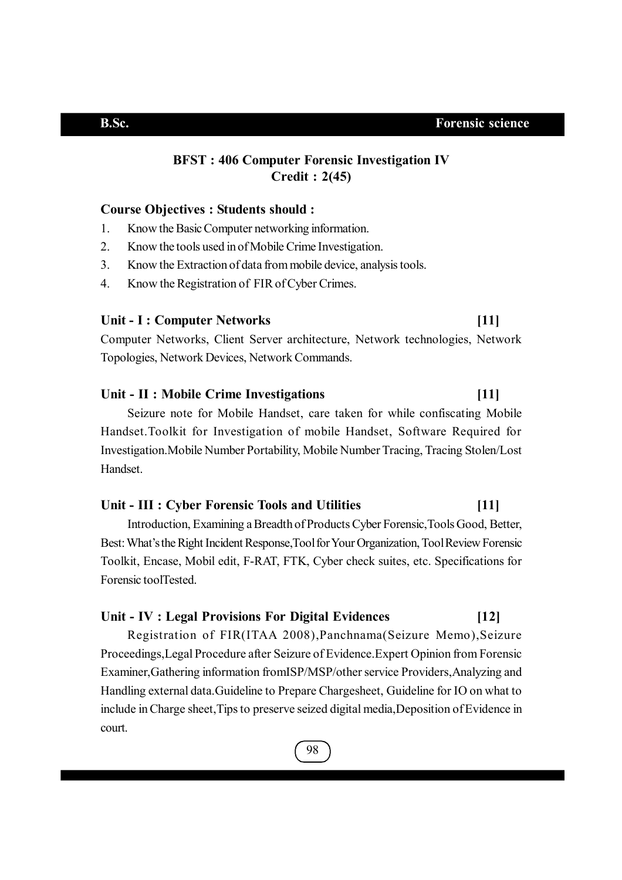## **BFST : 406 Computer Forensic Investigation IV Credit : 2(45)**

### **Course Objectives : Students should :**

- 1. Know the Basic Computer networking information.
- 2. Know the tools used in of Mobile Crime Investigation.
- 3. Know the Extraction of data from mobile device, analysis tools.
- 4. Know the Registration of FIR of Cyber Crimes.

### **Unit - I : Computer Networks [11]**

Computer Networks, Client Server architecture, Network technologies, Network Topologies, Network Devices, Network Commands.

## **Unit - II : Mobile Crime Investigations [11]**

Seizure note for Mobile Handset, care taken for while confiscating Mobile Handset.Toolkit for Investigation of mobile Handset, Software Required for Investigation.Mobile Number Portability, Mobile Number Tracing, Tracing Stolen/Lost Handset.

## **Unit - III : Cyber Forensic Tools and Utilities [11]**

Introduction, Examining a Breadth of Products Cyber Forensic,Tools Good, Better, Best: What's the Right Incident Response,Tool for Your Organization, Tool Review Forensic Toolkit, Encase, Mobil edit, F-RAT, FTK, Cyber check suites, etc. Specifications for Forensic toolTested.

### **Unit - IV : Legal Provisions For Digital Evidences [12]**

Registration of FIR(ITAA 2008),Panchnama(Seizure Memo),Seizure Proceedings,Legal Procedure after Seizure of Evidence.Expert Opinion from Forensic Examiner,Gathering information fromISP/MSP/other service Providers,Analyzing and Handling external data.Guideline to Prepare Chargesheet, Guideline for IO on what to include in Charge sheet,Tips to preserve seized digital media,Deposition of Evidence in court.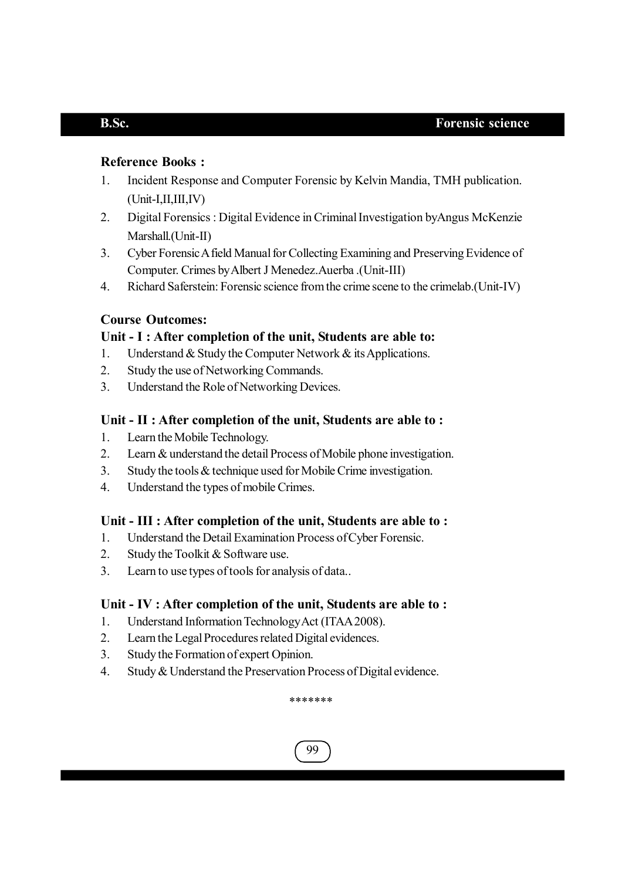## **Reference Books :**

- 1. Incident Response and Computer Forensic by Kelvin Mandia, TMH publication. (Unit-I,II,III,IV)
- 2. Digital Forensics : Digital Evidence in Criminal Investigation byAngus McKenzie Marshall.(Unit-II)
- 3. Cyber Forensic A field Manual for Collecting Examining and Preserving Evidence of Computer. Crimes by Albert J Menedez.Auerba .(Unit-III)
- 4. Richard Saferstein: Forensic science from the crime scene to the crimelab.(Unit-IV)

## **Course Outcomes:**

## **Unit - I : After completion of the unit, Students are able to:**

- 1. Understand & Study the Computer Network & its Applications.
- 2. Study the use of Networking Commands.
- 3. Understand the Role of Networking Devices.

## **Unit - II : After completion of the unit, Students are able to :**

- 1. Learn the Mobile Technology.
- 2. Learn & understand the detail Process of Mobile phone investigation.
- 3. Study the tools & technique used for Mobile Crime investigation.
- 4. Understand the types of mobile Crimes.

## **Unit - III : After completion of the unit, Students are able to :**

- 1. Understand the Detail Examination Process of Cyber Forensic.
- 2. Study the Toolkit & Software use.
- 3. Learn to use types of tools for analysis of data..

## **Unit - IV : After completion of the unit, Students are able to :**

- 1. Understand Information Technology Act (ITAA 2008).
- 2. Learn the Legal Procedures related Digital evidences.
- 3. Study the Formation of expert Opinion.
- 4. Study & Understand the Preservation Process of Digital evidence.

\*\*\*\*\*\*\*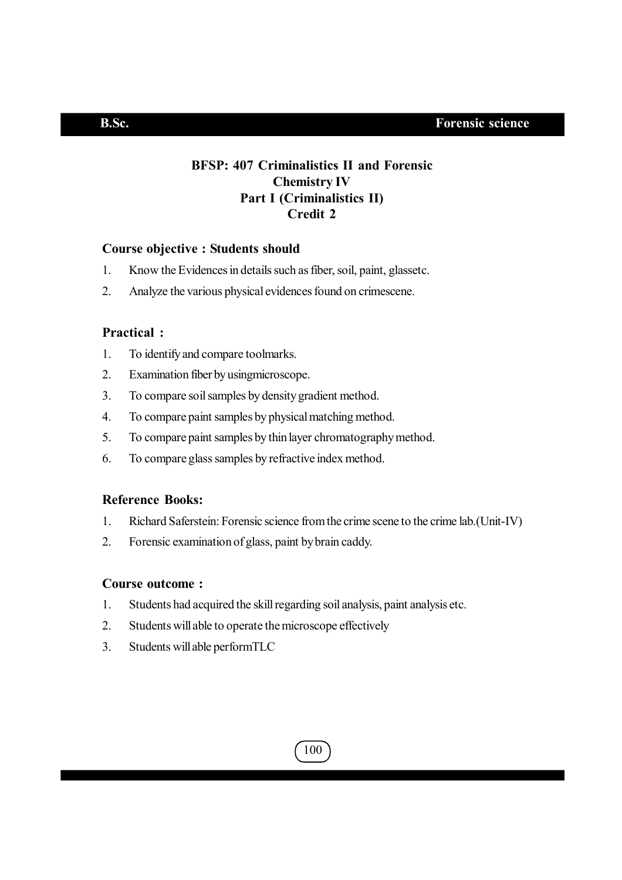## **BFSP: 407 Criminalistics II and Forensic Chemistry IV Part I (Criminalistics II) Credit 2**

## **Course objective : Students should**

- 1. Know the Evidences in details such as fiber, soil, paint, glassetc.
- 2. Analyze the various physical evidences found on crimescene.

## **Practical :**

- 1. To identify and compare toolmarks.
- 2. Examination fiber by usingmicroscope.
- 3. To compare soil samples by density gradient method.
- 4. To compare paint samples by physical matching method.
- 5. To compare paint samples by thin layer chromatography method.
- 6. To compare glass samples by refractive index method.

## **Reference Books:**

- 1. Richard Saferstein: Forensic science from the crime scene to the crime lab.(Unit-IV)
- 2. Forensic examination of glass, paint by brain caddy.

### **Course outcome :**

- 1. Students had acquired the skill regarding soil analysis, paint analysis etc.
- 2. Students will able to operate the microscope effectively
- 3. Students will able performTLC

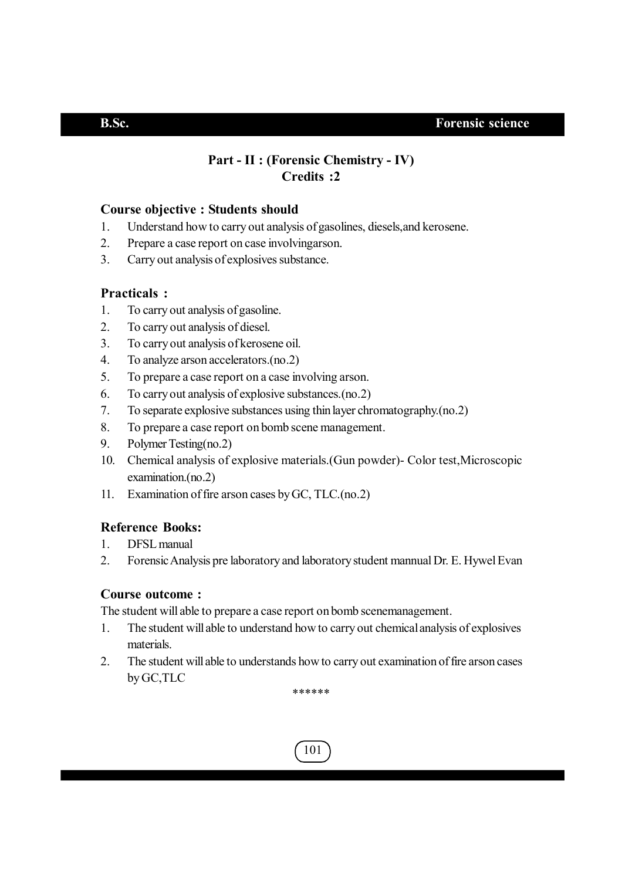## **Part - II : (Forensic Chemistry - IV) Credits :2**

## **Course objective : Students should**

- 1. Understand how to carry out analysis of gasolines, diesels,and kerosene.
- 2. Prepare a case report on case involvingarson.
- 3. Carry out analysis of explosives substance.

## **Practicals :**

- 1. To carry out analysis of gasoline.
- 2. To carry out analysis of diesel.
- 3. To carry out analysis of kerosene oil.
- 4. To analyze arson accelerators.(no.2)
- 5. To prepare a case report on a case involving arson.
- 6. To carry out analysis of explosive substances.(no.2)
- 7. To separate explosive substances using thin layer chromatography.(no.2)
- 8. To prepare a case report on bomb scene management.
- 9. Polymer Testing(no.2)
- 10. Chemical analysis of explosive materials.(Gun powder)- Color test,Microscopic examination.(no.2)
- 11. Examination of fire arson cases by GC, TLC.(no.2)

## **Reference Books:**

- 1. DFSL manual
- 2. Forensic Analysis pre laboratory and laboratory student mannual Dr. E. Hywel Evan

## **Course outcome :**

The student will able to prepare a case report on bomb scenemanagement.

- 1. The student will able to understand how to carry out chemical analysis of explosives materials.
- 2. The student will able to understands how to carry out examination of fire arson cases by GC,TLC

\*\*\*\*\*\*

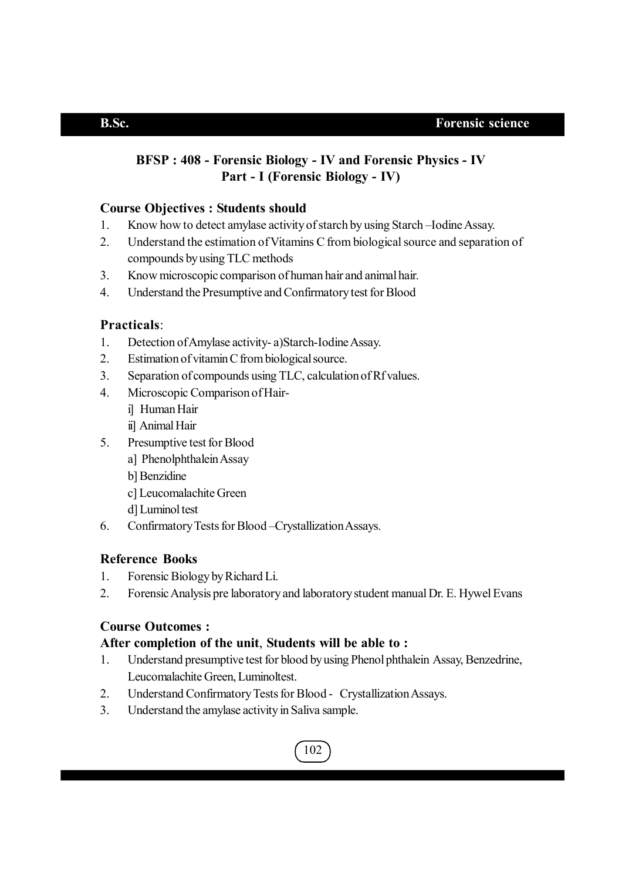## **BFSP : 408 - Forensic Biology - IV and Forensic Physics - IV Part - I (Forensic Biology - IV)**

## **Course Objectives : Students should**

- 1. Know how to detect amylase activity of starch by using Starch –Iodine Assay.
- 2. Understand the estimation of Vitamins C from biological source and separation of compounds by using TLC methods
- 3. Know microscopic comparison of human hair and animal hair.
- 4. Understand the Presumptive and Confirmatory test for Blood

## **Practicals**:

- 1. Detection of Amylase activity- a)Starch-Iodine Assay.
- 2. Estimation of vitamin C from biological source.
- 3. Separation of compounds using TLC, calculation of Rf values.
- 4. Microscopic Comparison of Hair
	- i] Human Hair
	- ii] Animal Hair
- 5. Presumptive test for Blood
	- a] Phenolphthalein Assay
	- b] Benzidine
	- c] Leucomalachite Green
	- d] Luminol test
- 6. Confirmatory Tests for Blood –Crystallization Assays.

## **Reference Books**

- 1. Forensic Biology by Richard Li.
- 2. Forensic Analysis pre laboratory and laboratory student manual Dr. E. Hywel Evans

## **Course Outcomes :**

## **After completion of the unit**, **Students will be able to :**

- 1. Understand presumptive test for blood by using Phenol phthalein Assay, Benzedrine, Leucomalachite Green, Luminoltest.
- 2. Understand Confirmatory Tests for Blood Crystallization Assays.
- 3. Understand the amylase activity in Saliva sample.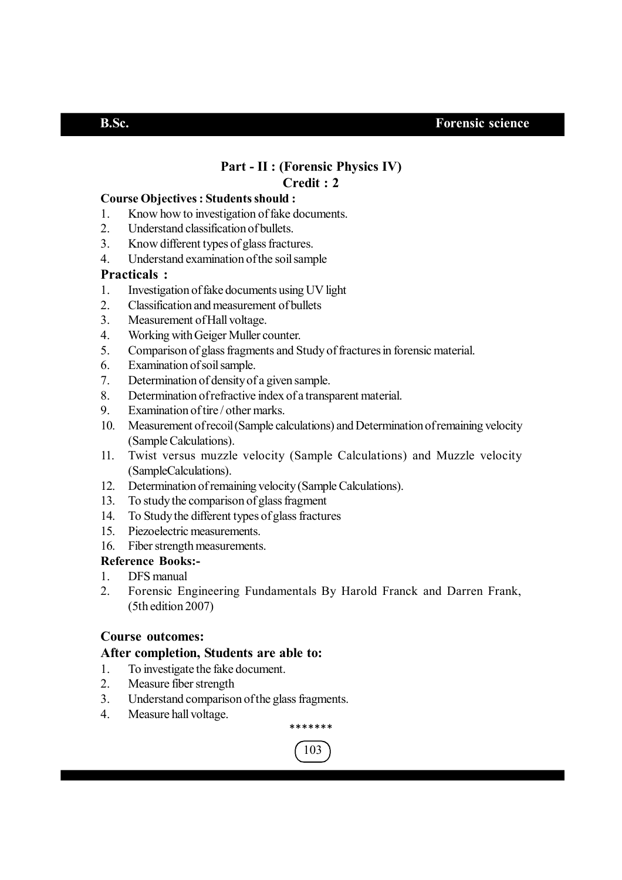## **Part - II : (Forensic Physics IV) Credit : 2**

## **Course Objectives : Students should :**

- 1. Know how to investigation of fake documents.
- 2. Understand classification of bullets.
- 3. Know different types of glass fractures.
- 4. Understand examination of the soil sample

## **Practicals :**

- 1. Investigation of fake documents using UV light
- 2. Classification and measurement of bullets
- 3. Measurement of Hall voltage.
- 4. Working with Geiger Muller counter.
- 5. Comparison of glass fragments and Study of fractures in forensic material.
- 6. Examination of soil sample.
- 7. Determination of density of a given sample.
- 8. Determination of refractive index of a transparent material.
- 9. Examination of tire / other marks.
- 10. Measurement of recoil (Sample calculations) and Determination of remaining velocity (Sample Calculations).
- 11. Twist versus muzzle velocity (Sample Calculations) and Muzzle velocity (SampleCalculations).
- 12. Determination of remaining velocity (Sample Calculations).
- 13. To study the comparison of glass fragment
- 14. To Study the different types of glass fractures
- 15. Piezoelectric measurements.
- 16. Fiber strength measurements.

## **Reference Books:-**

- 1. DFS manual
- 2. Forensic Engineering Fundamentals By Harold Franck and Darren Frank, (5th edition 2007)

## **Course outcomes:**

## **After completion, Students are able to:**

- 1. To investigate the fake document.
- 2. Measure fiber strength
- 3. Understand comparison of the glass fragments.
- 4. Measure hall voltage.



\*\*\*\*\*\*\*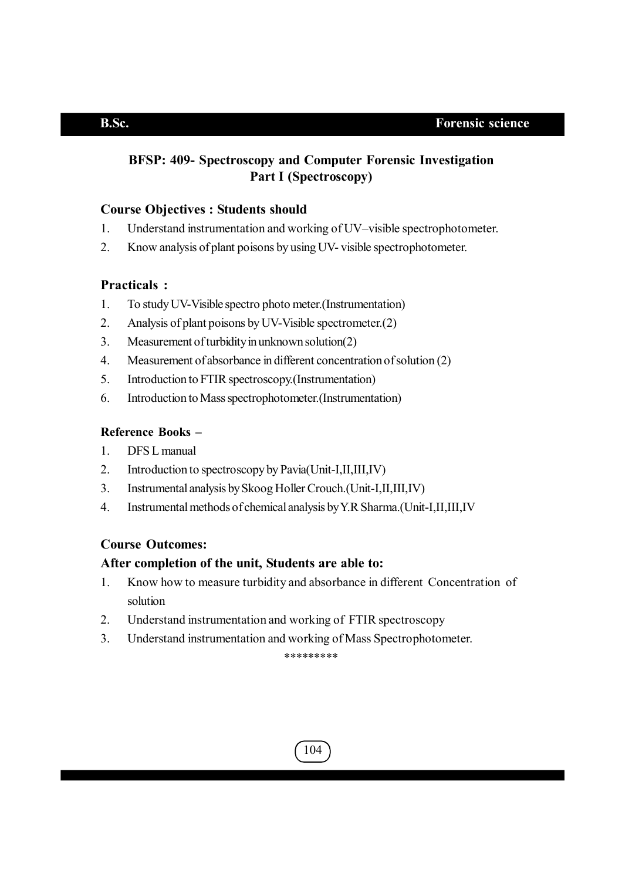## **BFSP: 409- Spectroscopy and Computer Forensic Investigation Part I (Spectroscopy)**

## **Course Objectives : Students should**

- 1. Understand instrumentation and working of UV–visible spectrophotometer.
- 2. Know analysis of plant poisons by using UV- visible spectrophotometer.

## **Practicals :**

- 1. To study UV-Visible spectro photo meter.(Instrumentation)
- 2. Analysis of plant poisons by UV-Visible spectrometer.(2)
- 3. Measurement of turbidity in unknown solution(2)
- 4. Measurement of absorbance in different concentration of solution (2)
- 5. Introduction to FTIR spectroscopy.(Instrumentation)
- 6. Introduction to Mass spectrophotometer.(Instrumentation)

## **Reference Books –**

- 1. DFS L manual
- 2. Introduction to spectroscopy by Pavia(Unit-I,II,III,IV)
- 3. Instrumental analysis by Skoog Holler Crouch.(Unit-I,II,III,IV)
- 4. Instrumental methods of chemical analysis by Y.R Sharma.(Unit-I,II,III,IV

## **Course Outcomes:**

## **After completion of the unit, Students are able to:**

- 1. Know how to measure turbidity and absorbance in different Concentration of solution
- 2. Understand instrumentation and working of FTIR spectroscopy
- 3. Understand instrumentation and working of Mass Spectrophotometer.

\*\*\*\*\*\*\*\*\*